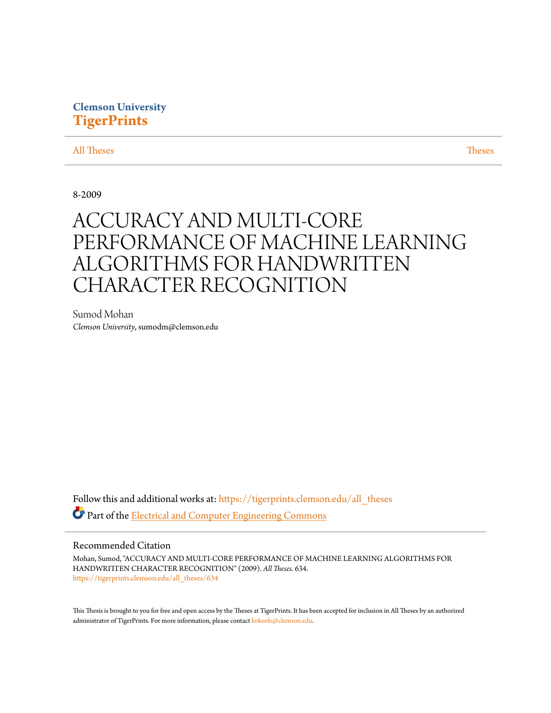# **Clemson University [TigerPrints](https://tigerprints.clemson.edu?utm_source=tigerprints.clemson.edu%2Fall_theses%2F634&utm_medium=PDF&utm_campaign=PDFCoverPages)**

## [All Theses](https://tigerprints.clemson.edu/all_theses?utm_source=tigerprints.clemson.edu%2Fall_theses%2F634&utm_medium=PDF&utm_campaign=PDFCoverPages) **[Theses](https://tigerprints.clemson.edu/theses?utm_source=tigerprints.clemson.edu%2Fall_theses%2F634&utm_medium=PDF&utm_campaign=PDFCoverPages)**

8-2009

# ACCURACY AND MULTI-CORE PERFORMANCE OF MACHINE LEARNING ALGORITHMS FOR HANDWRITTEN CHARACTER RECOGNITION

Sumod Mohan *Clemson University*, sumodm@clemson.edu

Follow this and additional works at: [https://tigerprints.clemson.edu/all\\_theses](https://tigerprints.clemson.edu/all_theses?utm_source=tigerprints.clemson.edu%2Fall_theses%2F634&utm_medium=PDF&utm_campaign=PDFCoverPages) Part of the [Electrical and Computer Engineering Commons](http://network.bepress.com/hgg/discipline/266?utm_source=tigerprints.clemson.edu%2Fall_theses%2F634&utm_medium=PDF&utm_campaign=PDFCoverPages)

## Recommended Citation

Mohan, Sumod, "ACCURACY AND MULTI-CORE PERFORMANCE OF MACHINE LEARNING ALGORITHMS FOR HANDWRITTEN CHARACTER RECOGNITION" (2009). *All Theses*. 634. [https://tigerprints.clemson.edu/all\\_theses/634](https://tigerprints.clemson.edu/all_theses/634?utm_source=tigerprints.clemson.edu%2Fall_theses%2F634&utm_medium=PDF&utm_campaign=PDFCoverPages)

This Thesis is brought to you for free and open access by the Theses at TigerPrints. It has been accepted for inclusion in All Theses by an authorized administrator of TigerPrints. For more information, please contact [kokeefe@clemson.edu](mailto:kokeefe@clemson.edu).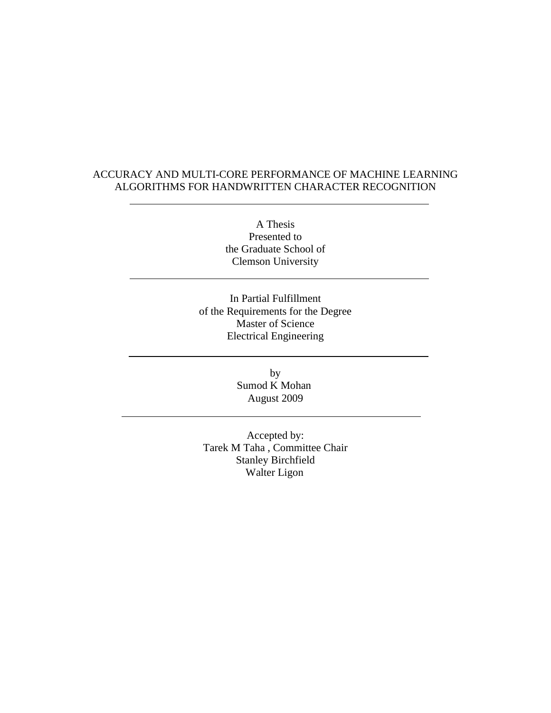# ACCURACY AND MULTI-CORE PERFORMANCE OF MACHINE LEARNING ALGORITHMS FOR HANDWRITTEN CHARACTER RECOGNITION

A Thesis Presented to the Graduate School of Clemson University

In Partial Fulfillment of the Requirements for the Degree Master of Science Electrical Engineering

> by Sumod K Mohan August 2009

Accepted by: Tarek M Taha , Committee Chair Stanley Birchfield Walter Ligon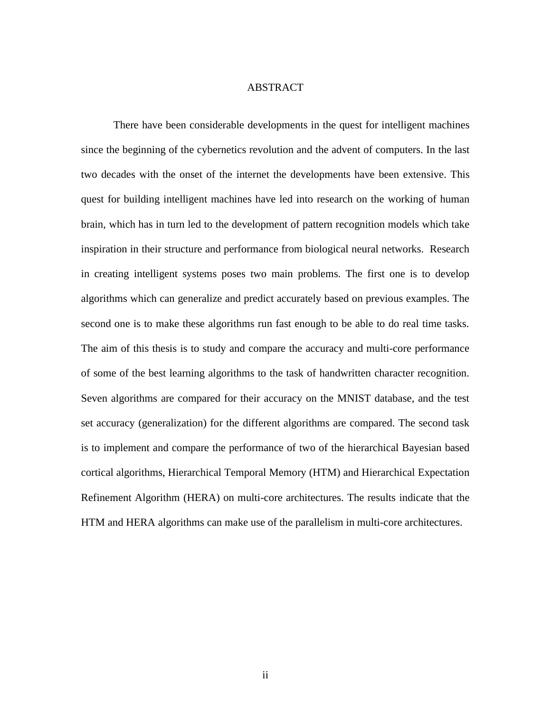#### ABSTRACT

There have been considerable developments in the quest for intelligent machines since the beginning of the cybernetics revolution and the advent of computers. In the last two decades with the onset of the internet the developments have been extensive. This quest for building intelligent machines have led into research on the working of human brain, which has in turn led to the development of pattern recognition models which take inspiration in their structure and performance from biological neural networks. Research in creating intelligent systems poses two main problems. The first one is to develop algorithms which can generalize and predict accurately based on previous examples. The second one is to make these algorithms run fast enough to be able to do real time tasks. The aim of this thesis is to study and compare the accuracy and multi-core performance of some of the best learning algorithms to the task of handwritten character recognition. Seven algorithms are compared for their accuracy on the MNIST database, and the test set accuracy (generalization) for the different algorithms are compared. The second task is to implement and compare the performance of two of the hierarchical Bayesian based cortical algorithms, Hierarchical Temporal Memory (HTM) and Hierarchical Expectation Refinement Algorithm (HERA) on multi-core architectures. The results indicate that the HTM and HERA algorithms can make use of the parallelism in multi-core architectures.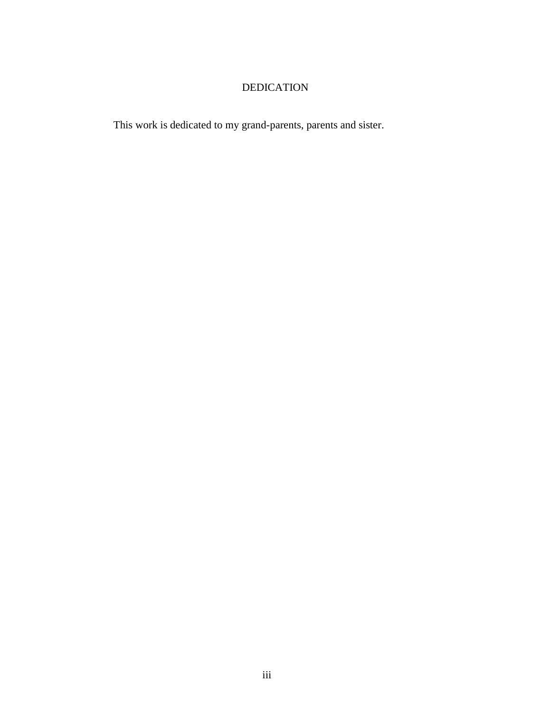# DEDICATION

This work is dedicated to my grand-parents, parents and sister.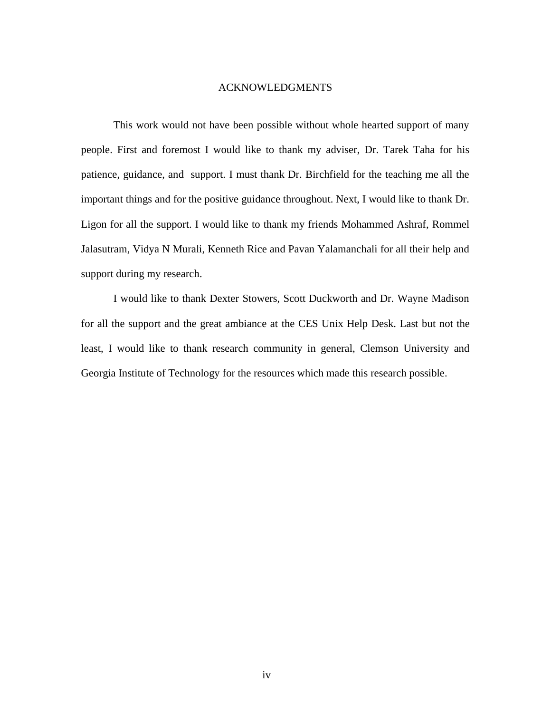#### ACKNOWLEDGMENTS

This work would not have been possible without whole hearted support of many people. First and foremost I would like to thank my adviser, Dr. Tarek Taha for his patience, guidance, and support. I must thank Dr. Birchfield for the teaching me all the important things and for the positive guidance throughout. Next, I would like to thank Dr. Ligon for all the support. I would like to thank my friends Mohammed Ashraf, Rommel Jalasutram, Vidya N Murali, Kenneth Rice and Pavan Yalamanchali for all their help and support during my research.

I would like to thank Dexter Stowers, Scott Duckworth and Dr. Wayne Madison for all the support and the great ambiance at the CES Unix Help Desk. Last but not the least, I would like to thank research community in general, Clemson University and Georgia Institute of Technology for the resources which made this research possible.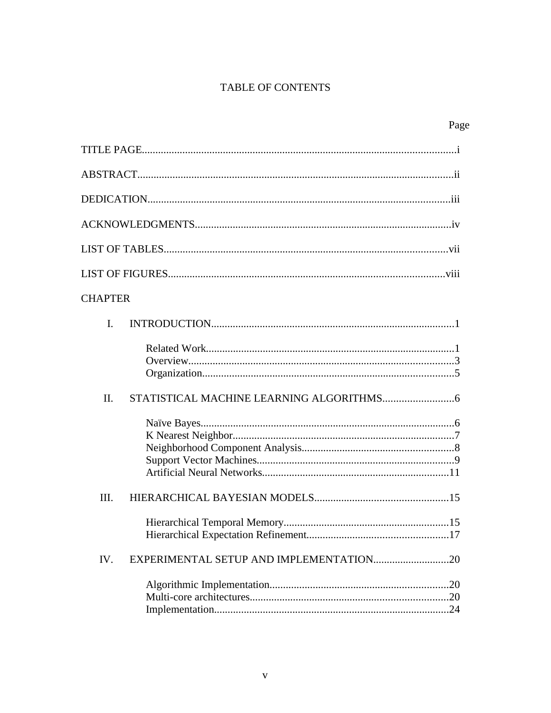# TABLE OF CONTENTS

| <b>CHAPTER</b>                                 |
|------------------------------------------------|
| I.                                             |
|                                                |
| II.                                            |
|                                                |
| III.                                           |
|                                                |
| EXPERIMENTAL SETUP AND IMPLEMENTATION20<br>IV. |
|                                                |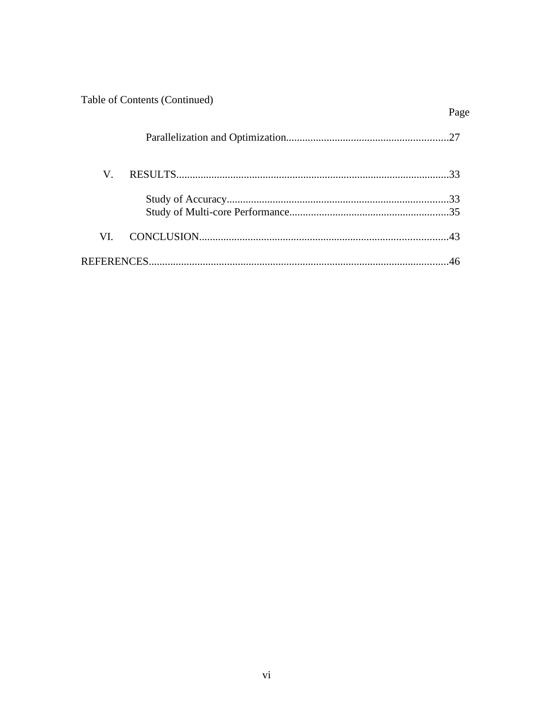| Table of Contents (Continued) |      |
|-------------------------------|------|
|                               | Page |
|                               |      |
| V.                            |      |
|                               |      |
|                               |      |
| VI.                           |      |
|                               |      |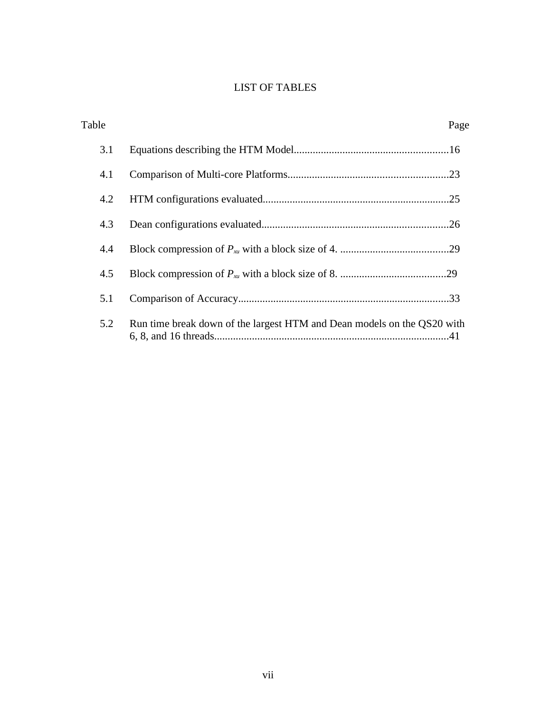# LIST OF TABLES

| Table |                                                                         | Page |
|-------|-------------------------------------------------------------------------|------|
| 3.1   |                                                                         |      |
| 4.1   |                                                                         |      |
| 4.2   |                                                                         |      |
| 4.3   |                                                                         |      |
| 4.4   |                                                                         |      |
| 4.5   |                                                                         |      |
| 5.1   |                                                                         |      |
| 5.2   | Run time break down of the largest HTM and Dean models on the QS20 with |      |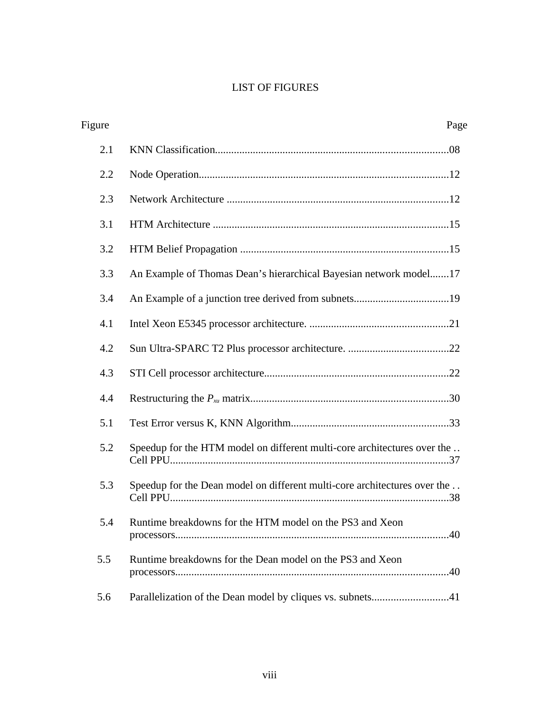# LIST OF FIGURES

| Figure |                                                                           | Page |
|--------|---------------------------------------------------------------------------|------|
| 2.1    |                                                                           |      |
| 2.2    |                                                                           |      |
| 2.3    |                                                                           |      |
| 3.1    |                                                                           |      |
| 3.2    |                                                                           |      |
| 3.3    | An Example of Thomas Dean's hierarchical Bayesian network model17         |      |
| 3.4    |                                                                           |      |
| 4.1    |                                                                           |      |
| 4.2    |                                                                           |      |
| 4.3    |                                                                           |      |
| 4.4    |                                                                           |      |
| 5.1    |                                                                           |      |
| 5.2    | Speedup for the HTM model on different multi-core architectures over the  |      |
| 5.3    | Speedup for the Dean model on different multi-core architectures over the |      |
| 5.4    | Runtime breakdowns for the HTM model on the PS3 and Xeon                  |      |
| 5.5    | Runtime breakdowns for the Dean model on the PS3 and Xeon                 |      |
| 5.6    | Parallelization of the Dean model by cliques vs. subnets41                |      |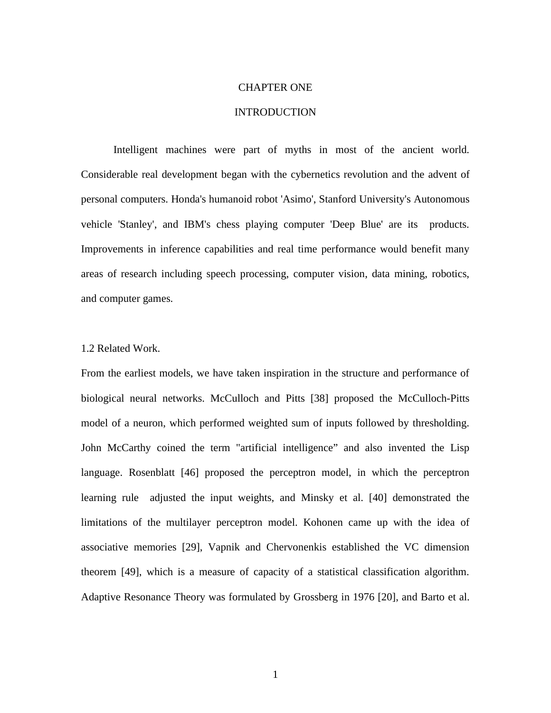#### CHAPTER ONE

## INTRODUCTION

Intelligent machines were part of myths in most of the ancient world. Considerable real development began with the cybernetics revolution and the advent of personal computers. Honda's humanoid robot 'Asimo', Stanford University's Autonomous vehicle 'Stanley', and IBM's chess playing computer 'Deep Blue' are its products. Improvements in inference capabilities and real time performance would benefit many areas of research including speech processing, computer vision, data mining, robotics, and computer games.

#### 1.2 Related Work.

From the earliest models, we have taken inspiration in the structure and performance of biological neural networks. McCulloch and Pitts [38] proposed the McCulloch-Pitts model of a neuron, which performed weighted sum of inputs followed by thresholding. John McCarthy coined the term "artificial intelligence" and also invented the Lisp language. Rosenblatt [46] proposed the perceptron model, in which the perceptron learning rule adjusted the input weights, and Minsky et al. [40] demonstrated the limitations of the multilayer perceptron model. Kohonen came up with the idea of associative memories [29], Vapnik and Chervonenkis established the VC dimension theorem [49], which is a measure of capacity of a statistical classification algorithm. Adaptive Resonance Theory was formulated by Grossberg in 1976 [20], and Barto et al.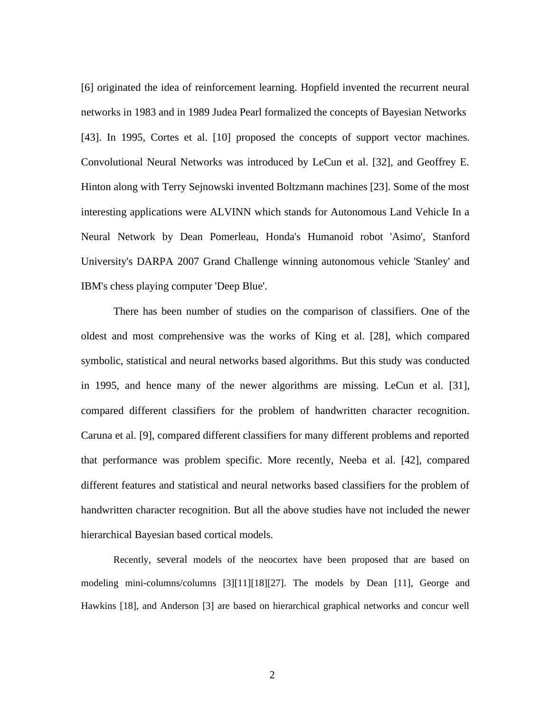[6] originated the idea of reinforcement learning. Hopfield invented the recurrent neural networks in 1983 and in 1989 Judea Pearl formalized the concepts of Bayesian Networks [43]. In 1995, Cortes et al. [10] proposed the concepts of support vector machines. Convolutional Neural Networks was introduced by LeCun et al. [32], and Geoffrey E. Hinton along with Terry Sejnowski invented Boltzmann machines [23]. Some of the most interesting applications were ALVINN which stands for Autonomous Land Vehicle In a Neural Network by Dean Pomerleau, Honda's Humanoid robot 'Asimo', Stanford University's DARPA 2007 Grand Challenge winning autonomous vehicle 'Stanley' and IBM's chess playing computer 'Deep Blue'.

There has been number of studies on the comparison of classifiers. One of the oldest and most comprehensive was the works of King et al. [28], which compared symbolic, statistical and neural networks based algorithms. But this study was conducted in 1995, and hence many of the newer algorithms are missing. LeCun et al. [31], compared different classifiers for the problem of handwritten character recognition. Caruna et al. [9], compared different classifiers for many different problems and reported that performance was problem specific. More recently, Neeba et al. [42], compared different features and statistical and neural networks based classifiers for the problem of handwritten character recognition. But all the above studies have not included the newer hierarchical Bayesian based cortical models.

Recently, several models of the neocortex have been proposed that are based on modeling mini-columns/columns [3][11][18][27]. The models by Dean [11], George and Hawkins [18], and Anderson [3] are based on hierarchical graphical networks and concur well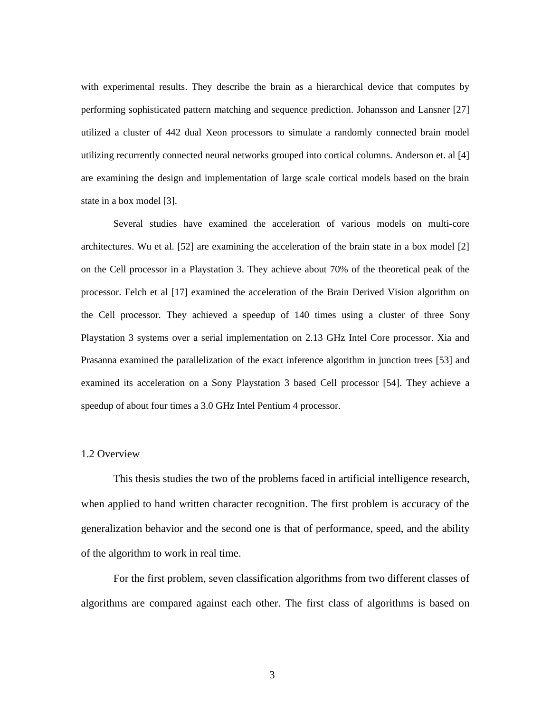with experimental results. They describe the brain as a hierarchical device that computes by performing sophisticated pattern matching and sequence prediction. Johansson and Lansner [27] utilized a cluster of 442 dual Xeon processors to simulate a randomly connected brain model utilizing recurrently connected neural networks grouped into cortical columns. Anderson et. al [4] are examining the design and implementation of large scale cortical models based on the brain state in a box model [3].

Several studies have examined the acceleration of various models on multi-core architectures. Wu et al. [52] are examining the acceleration of the brain state in a box model [2] on the Cell processor in a Playstation 3. They achieve about 70% of the theoretical peak of the processor. Felch et al [17] examined the acceleration of the Brain Derived Vision algorithm on the Cell processor. They achieved a speedup of 140 times using a cluster of three Sony Playstation 3 systems over a serial implementation on 2.13 GHz Intel Core processor. Xia and Prasanna examined the parallelization of the exact inference algorithm in junction trees [53] and examined its acceleration on a Sony Playstation 3 based Cell processor [54]. They achieve a speedup of about four times a 3.0 GHz Intel Pentium 4 processor.

#### 1.2 Overview

This thesis studies the two of the problems faced in artificial intelligence research, when applied to hand written character recognition. The first problem is accuracy of the generalization behavior and the second one is that of performance, speed, and the ability of the algorithm to work in real time.

For the first problem, seven classification algorithms from two different classes of algorithms are compared against each other. The first class of algorithms is based on

3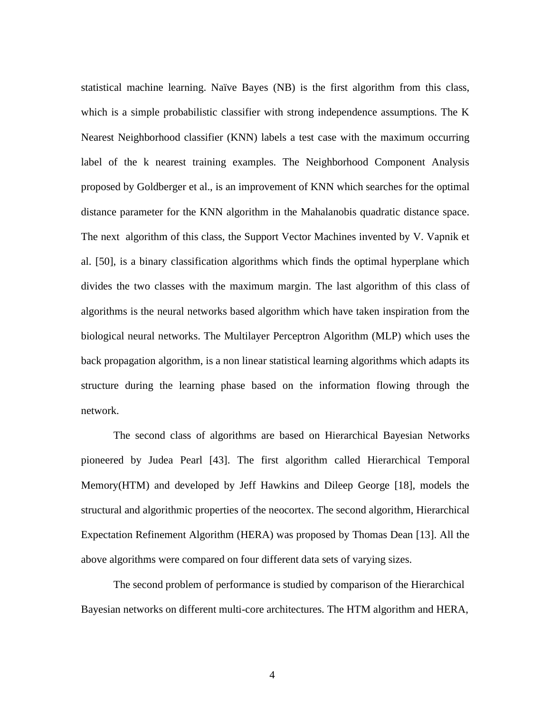statistical machine learning. Naïve Bayes (NB) is the first algorithm from this class, which is a simple probabilistic classifier with strong independence assumptions. The K Nearest Neighborhood classifier (KNN) labels a test case with the maximum occurring label of the k nearest training examples. The Neighborhood Component Analysis proposed by Goldberger et al., is an improvement of KNN which searches for the optimal distance parameter for the KNN algorithm in the Mahalanobis quadratic distance space. The next algorithm of this class, the Support Vector Machines invented by V. Vapnik et al. [50], is a binary classification algorithms which finds the optimal hyperplane which divides the two classes with the maximum margin. The last algorithm of this class of algorithms is the neural networks based algorithm which have taken inspiration from the biological neural networks. The Multilayer Perceptron Algorithm (MLP) which uses the back propagation algorithm, is a non linear statistical learning algorithms which adapts its structure during the learning phase based on the information flowing through the network.

The second class of algorithms are based on Hierarchical Bayesian Networks pioneered by Judea Pearl [43]. The first algorithm called Hierarchical Temporal Memory(HTM) and developed by Jeff Hawkins and Dileep George [18], models the structural and algorithmic properties of the neocortex. The second algorithm, Hierarchical Expectation Refinement Algorithm (HERA) was proposed by Thomas Dean [13]. All the above algorithms were compared on four different data sets of varying sizes.

The second problem of performance is studied by comparison of the Hierarchical Bayesian networks on different multi-core architectures. The HTM algorithm and HERA,

4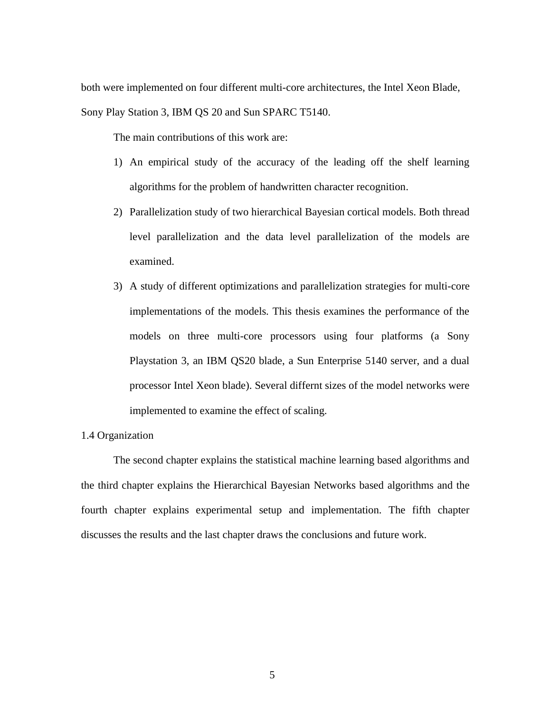both were implemented on four different multi-core architectures, the Intel Xeon Blade, Sony Play Station 3, IBM QS 20 and Sun SPARC T5140.

The main contributions of this work are:

- 1) An empirical study of the accuracy of the leading off the shelf learning algorithms for the problem of handwritten character recognition.
- 2) Parallelization study of two hierarchical Bayesian cortical models. Both thread level parallelization and the data level parallelization of the models are examined.
- 3) A study of different optimizations and parallelization strategies for multi-core implementations of the models. This thesis examines the performance of the models on three multi-core processors using four platforms (a Sony Playstation 3, an IBM QS20 blade, a Sun Enterprise 5140 server, and a dual processor Intel Xeon blade). Several differnt sizes of the model networks were implemented to examine the effect of scaling.

## 1.4 Organization

The second chapter explains the statistical machine learning based algorithms and the third chapter explains the Hierarchical Bayesian Networks based algorithms and the fourth chapter explains experimental setup and implementation. The fifth chapter discusses the results and the last chapter draws the conclusions and future work.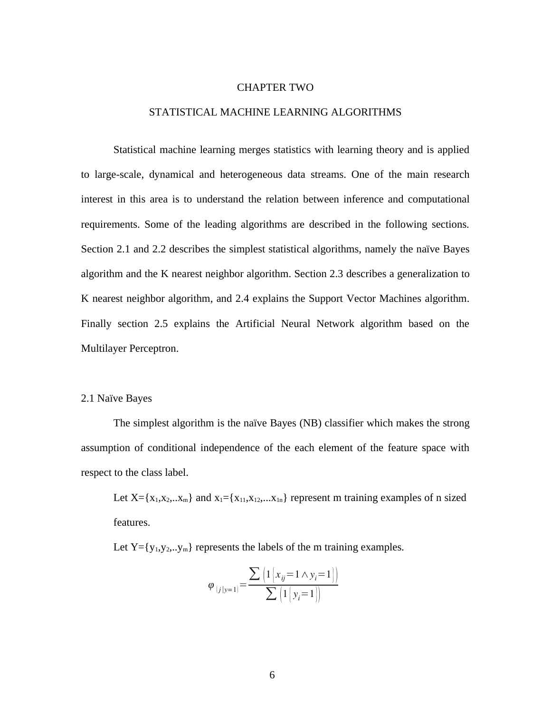#### CHAPTER TWO

#### STATISTICAL MACHINE LEARNING ALGORITHMS

Statistical machine learning merges statistics with learning theory and is applied to large-scale, dynamical and heterogeneous data streams. One of the main research interest in this area is to understand the relation between inference and computational requirements. Some of the leading algorithms are described in the following sections. Section 2.1 and 2.2 describes the simplest statistical algorithms, namely the naïve Bayes algorithm and the K nearest neighbor algorithm. Section 2.3 describes a generalization to K nearest neighbor algorithm, and 2.4 explains the Support Vector Machines algorithm. Finally section 2.5 explains the Artificial Neural Network algorithm based on the Multilayer Perceptron.

#### 2.1 Naïve Bayes

The simplest algorithm is the naïve Bayes (NB) classifier which makes the strong assumption of conditional independence of the each element of the feature space with respect to the class label.

Let  $X = \{x_1, x_2, ... x_m\}$  and  $x_1 = \{x_{11}, x_{12}, ... x_{1n}\}$  represent m training examples of n sized features.

Let  $Y = \{y_1, y_2, \ldots, y_m\}$  represents the labels of the m training examples.

$$
\varphi_{(j|y=1)} = \frac{\sum \left(1\left[x_{ij} = 1 \land y_i = 1\right]\right)}{\sum \left(1\left[y_i = 1\right]\right)}
$$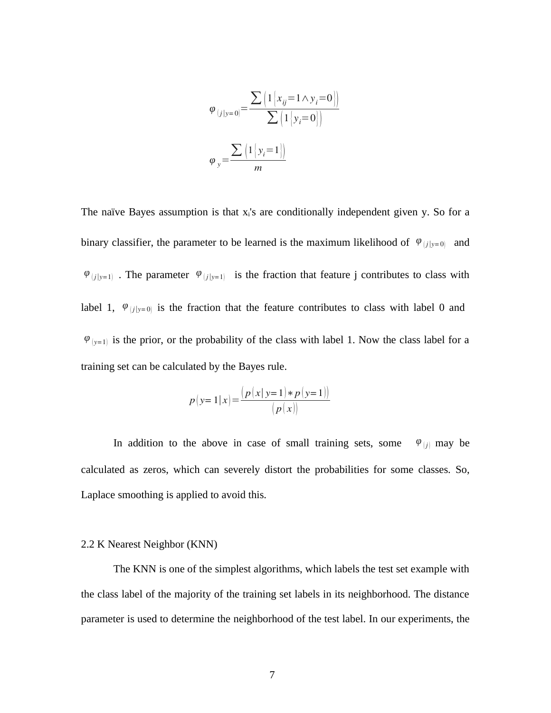$$
\varphi_{(j|y=0)} = \frac{\sum \left(1\left[x_{ij}=1 \land y_{i}=0\right]\right)}{\sum \left(1\left[y_{i}=0\right]\right)}
$$
\n
$$
\varphi_{y} = \frac{\sum \left(1\left[y_{i}=1\right]\right)}{m}
$$

The naïve Bayes assumption is that  $x<sub>i</sub>$ 's are conditionally independent given y. So for a binary classifier, the parameter to be learned is the maximum likelihood of  $\varphi$ <sub>(*i*|*y*=0)</sub> and  $\varphi$ <sub>(*j*|*y*=1)</sub> . The parameter  $\varphi$ <sub>(*j*|*y*=1)</sub> is the fraction that feature j contributes to class with label 1,  $\varphi$ <sub>(*j*|*y*=0)</sub> is the fraction that the feature contributes to class with label 0 and  $\varphi$ <sub>(y=1)</sub> is the prior, or the probability of the class with label 1. Now the class label for a training set can be calculated by the Bayes rule.

$$
p(y=1|x) = \frac{(p(x|y=1) * p(y=1))}{(p(x))}
$$

In addition to the above in case of small training sets, some  $\varphi_{[j]}$  may be calculated as zeros, which can severely distort the probabilities for some classes. So, Laplace smoothing is applied to avoid this.

#### 2.2 K Nearest Neighbor (KNN)

The KNN is one of the simplest algorithms, which labels the test set example with the class label of the majority of the training set labels in its neighborhood. The distance parameter is used to determine the neighborhood of the test label. In our experiments, the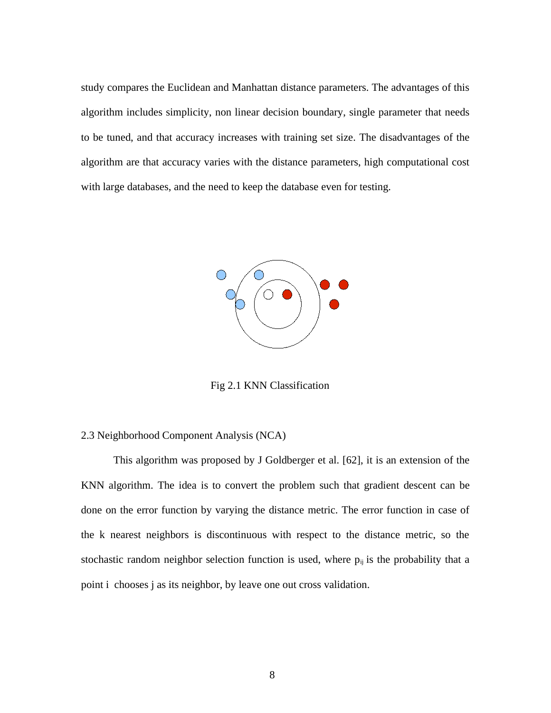study compares the Euclidean and Manhattan distance parameters. The advantages of this algorithm includes simplicity, non linear decision boundary, single parameter that needs to be tuned, and that accuracy increases with training set size. The disadvantages of the algorithm are that accuracy varies with the distance parameters, high computational cost with large databases, and the need to keep the database even for testing.



Fig 2.1 KNN Classification

#### 2.3 Neighborhood Component Analysis (NCA)

This algorithm was proposed by J Goldberger et al. [62], it is an extension of the KNN algorithm. The idea is to convert the problem such that gradient descent can be done on the error function by varying the distance metric. The error function in case of the k nearest neighbors is discontinuous with respect to the distance metric, so the stochastic random neighbor selection function is used, where  $p_{ij}$  is the probability that a point i chooses j as its neighbor, by leave one out cross validation.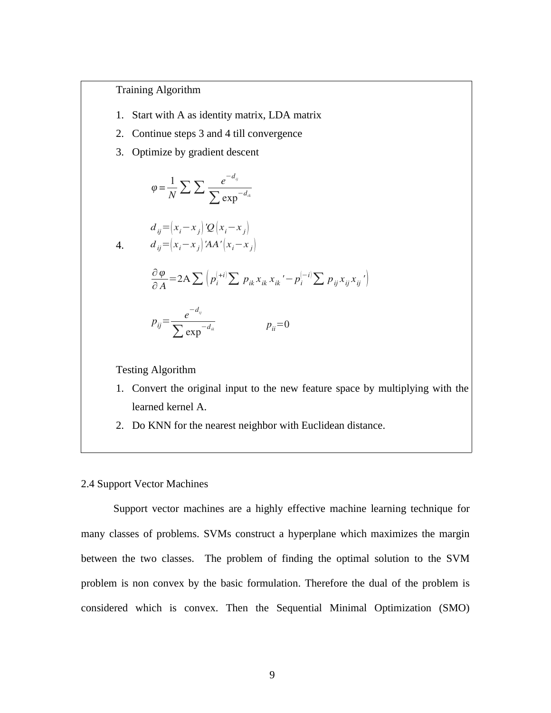Training Algorithm

- 1. Start with A as identity matrix, LDA matrix
- 2. Continue steps 3 and 4 till convergence
- 3. Optimize by gradient descent

$$
\varphi = \frac{1}{N} \sum \sum \frac{e^{-d_{ij}}}{\sum \exp^{-d_{ik}}}
$$
  
\n
$$
d_{ij} = (x_i - x_j) Q (x_i - x_j)
$$
  
\n4. 
$$
d_{ij} = (x_i - x_j) A' (x_i - x_j)
$$
  
\n
$$
\frac{\partial \varphi}{\partial A} = 2A \sum \left( p_i^{(+i)} \sum p_{ik} x_{ik} x_{ik}' - p_i^{(-i)} \sum p_{ij} x_{ij} x_{ij}' \right)
$$
  
\n
$$
p_{ij} = \frac{e^{-d_{ij}}}{\sum \exp^{-d_{ik}}} \qquad p_{ij} = 0
$$

Testing Algorithm

- 1. Convert the original input to the new feature space by multiplying with the learned kernel A.
- 2. Do KNN for the nearest neighbor with Euclidean distance.

#### 2.4 Support Vector Machines

Support vector machines are a highly effective machine learning technique for many classes of problems. SVMs construct a hyperplane which maximizes the margin between the two classes. The problem of finding the optimal solution to the SVM problem is non convex by the basic formulation. Therefore the dual of the problem is considered which is convex. Then the Sequential Minimal Optimization (SMO)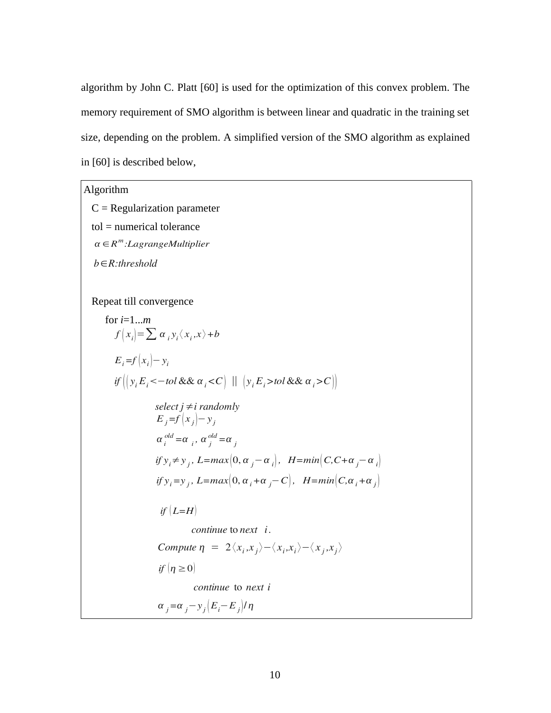algorithm by John C. Platt [60] is used for the optimization of this convex problem. The memory requirement of SMO algorithm is between linear and quadratic in the training set size, depending on the problem. A simplified version of the SMO algorithm as explained in [60] is described below,

# Algorithm

 $C =$  Regularization parameter

tol = numerical tolerance

*α* ∈*R m :LagrangeMultiplier*

*b*∈*R:threshold*

Repeat till convergence

for i=1...m  
\n
$$
f(x_i)=\sum \alpha_i y_i \langle x_i, x \rangle + b
$$
  
\n $E_i = f(x_i) - y_i$   
\nif  $(y_i E_i < -\text{tol} \& \& \alpha_i < C)$   $|| (y_i E_i > \text{tol} \& \& \alpha_i > C)$   
\nselect  $j \neq i$  randomly  
\n $E_j = f(x_j) - y_j$   
\n $\alpha_i^{\text{old}} = \alpha_i, \alpha_j^{\text{old}} = \alpha_j$   
\nif  $y_i \neq y_j$ ,  $L = \max(0, \alpha_j - \alpha_i)$ ,  $H = \min(C, C + \alpha_j - \alpha_i)$   
\nif  $y_i = y_j$ ,  $L = \max(0, \alpha_i + \alpha_j - C)$ ,  $H = \min(C, \alpha_i + \alpha_j)$   
\nif  $(L=H)$   
\ncontinue to next i.  
\nCompute  $\eta = 2 \langle x_i, x_j \rangle - \langle x_i, x_i \rangle - \langle x_j, x_j \rangle$   
\nif  $(\eta \ge 0)$   
\ncontinue to next i  
\n $\alpha_j = \alpha_j - y_j (E_i - E_j) / \eta$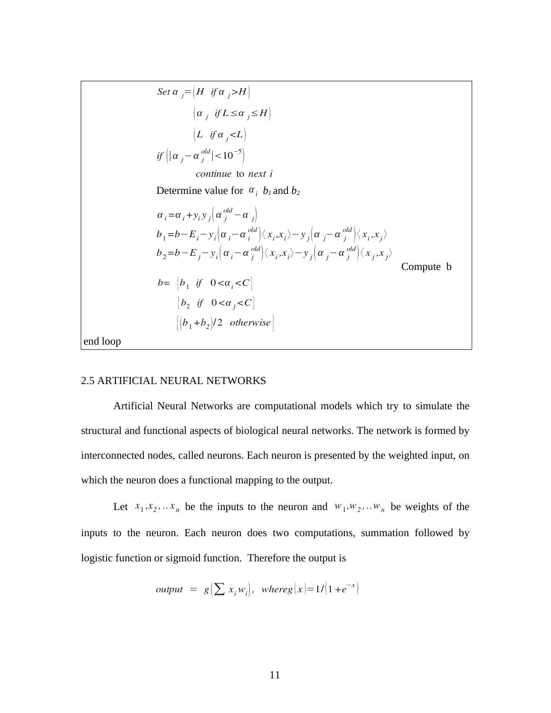Determine value for  $\alpha_i$   $b_1$  and  $b_2$ Compute b end loop  $\left| \left( b_1 + b_2 \right) \right|$  2 *otherwise*  $\begin{vmatrix} b_2 & \text{if} & 0 < \alpha_j < C \end{vmatrix}$  $b_{2}$  = b  $-E_{j}$   $-y_{i}$   $\left(\alpha _{i} -\alpha \frac{\partial d}{j} \right)$   $\left\langle x_{i},\!_{i} \right\rangle -y_{j}$   $\left(\alpha _{j} -\alpha \frac{\partial d}{j} \right)$   $\left\langle x_{j},\!_{j} \right\rangle$ *b*=  $\begin{vmatrix} b_1 & \text{if} & 0 < \alpha \\ 0 & \text{if} & \text{if} & 0 \end{vmatrix}$  $b_1 = b - E_i - y_i \left[ \alpha_i - \alpha_i^{old} \right] \langle x_i, x_i \rangle - y_j \left[ \alpha_j - \alpha_j^{old} \right] \langle x_i, x_j \rangle$  $\alpha_i = \alpha_i + y_i y_j \left( \alpha_i^{old} - \alpha_j \right)$ *continue* to *next i Set*  $\alpha$  *j*= $(H$  *if*  $\alpha$  *j*>*H* $)$  $if \left| \alpha_j - \alpha_j^{old} \right| < 10^{-5}$  $\left( \alpha_j \text{ if } L \leq \alpha_j \leq H \right)$  $\left| L \right|$  *if*  $\alpha$ <sub>*i*</sub> <*L* $\left| L \right|$ 

## 2.5 ARTIFICIAL NEURAL NETWORKS

Artificial Neural Networks are computational models which try to simulate the structural and functional aspects of biological neural networks. The network is formed by interconnected nodes, called neurons. Each neuron is presented by the weighted input, on which the neuron does a functional mapping to the output.

Let  $x_1, x_2, \ldots, x_n$  be the inputs to the neuron and  $w_1, w_2, \ldots, w_n$  be weights of the inputs to the neuron. Each neuron does two computations, summation followed by logistic function or sigmoid function. Therefore the output is

$$
output = g\left(\sum x_i w_i\right), \text{ where } g\left(x\right) = 1/\left(1 + e^{-x}\right)
$$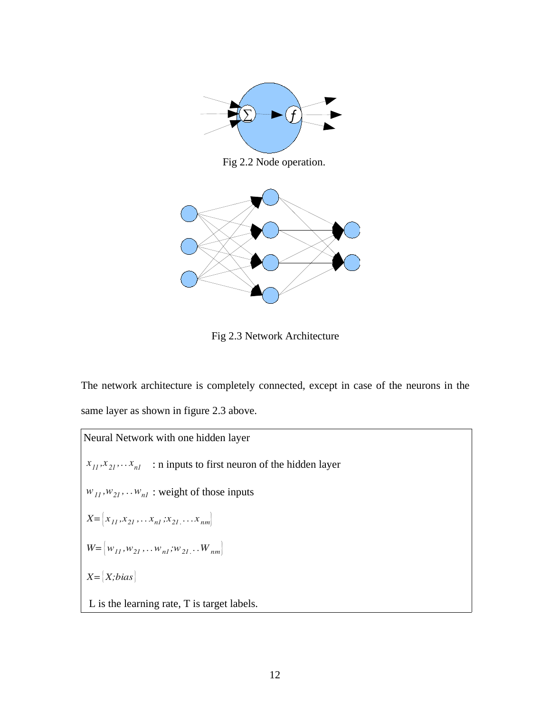

Fig 2.2 Node operation.



Fig 2.3 Network Architecture

The network architecture is completely connected, except in case of the neurons in the same layer as shown in figure 2.3 above.

Neural Network with one hidden layer  $x_{11}$ , $x_{21}$ ,... $x_{nl}$  : n inputs to first neuron of the hidden layer  $w_{11}$ , $w_{21}$ ,... $w_{nl}$ : weight of those inputs  $X = \begin{bmatrix} x_{11}, x_{21}, \dots x_{n1}, x_{21}, \dots x_{nm} \end{bmatrix}$  $W = \left\{ w_{11}, w_{21}, \ldots w_{n1}, w_{21} \ldots w_{nm} \right\}$ *X=*{*X;bias*} L is the learning rate, T is target labels.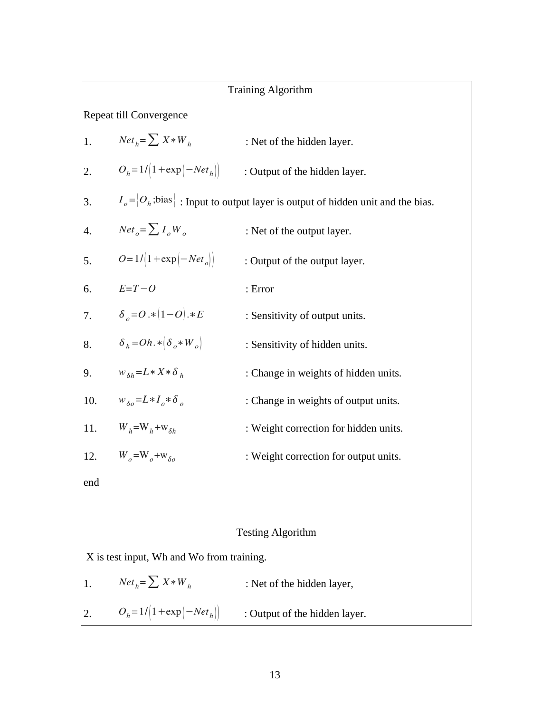|     | <b>Training Algorithm</b>                                                                    |                                                                                           |  |  |  |  |  |
|-----|----------------------------------------------------------------------------------------------|-------------------------------------------------------------------------------------------|--|--|--|--|--|
|     | Repeat till Convergence                                                                      |                                                                                           |  |  |  |  |  |
| 1.  | $Net_h = \sum X * W_h$                                                                       | : Net of the hidden layer.                                                                |  |  |  |  |  |
| 2.  |                                                                                              | $O_h = 1/[1 + \exp(-Net_h)]$ : Output of the hidden layer.                                |  |  |  |  |  |
| 3.  |                                                                                              | $I_o = [O_h; \text{bias}]$ : Input to output layer is output of hidden unit and the bias. |  |  |  |  |  |
| 4.  | $Net_{o} = \sum I_{o}W_{o}$                                                                  | : Net of the output layer.                                                                |  |  |  |  |  |
| 5.  | $O = 1/[1 + \exp[-Net_{o}]]$                                                                 | : Output of the output layer.                                                             |  |  |  |  |  |
| 6.  | $E=T-O$                                                                                      | : Error                                                                                   |  |  |  |  |  |
| 7.  | $\delta_{0} = O. * (1 - O). * E$                                                             | : Sensitivity of output units.                                                            |  |  |  |  |  |
| 8.  | $\delta_h = Oh. * \left( \delta_o * W_o \right)$                                             | : Sensitivity of hidden units.                                                            |  |  |  |  |  |
| 9.  | $W_{\delta h} = L \cdot X \cdot \delta_h$                                                    | : Change in weights of hidden units.                                                      |  |  |  |  |  |
| 10. | $W_{\delta\rho} = L \cdot I_{\rho} \cdot \delta_{\rho}$                                      | : Change in weights of output units.                                                      |  |  |  |  |  |
| 11. | $W_h = W_h + W_{\delta h}$                                                                   | : Weight correction for hidden units.                                                     |  |  |  |  |  |
| 12. | $W_{\alpha}$ =W <sub><math>_{\alpha}</math></sub> +w <sub><math>_{\delta\alpha}</math></sub> | : Weight correction for output units.                                                     |  |  |  |  |  |
| end |                                                                                              |                                                                                           |  |  |  |  |  |
|     |                                                                                              |                                                                                           |  |  |  |  |  |
|     |                                                                                              | <b>Testing Algorithm</b>                                                                  |  |  |  |  |  |
|     | X is test input, Wh and Wo from training.                                                    |                                                                                           |  |  |  |  |  |
| 1.  | $Net_h = \sum X * W_h$                                                                       | : Net of the hidden layer,                                                                |  |  |  |  |  |

2.  $O_h = 1/3$ ∴ Output of the hidden layer.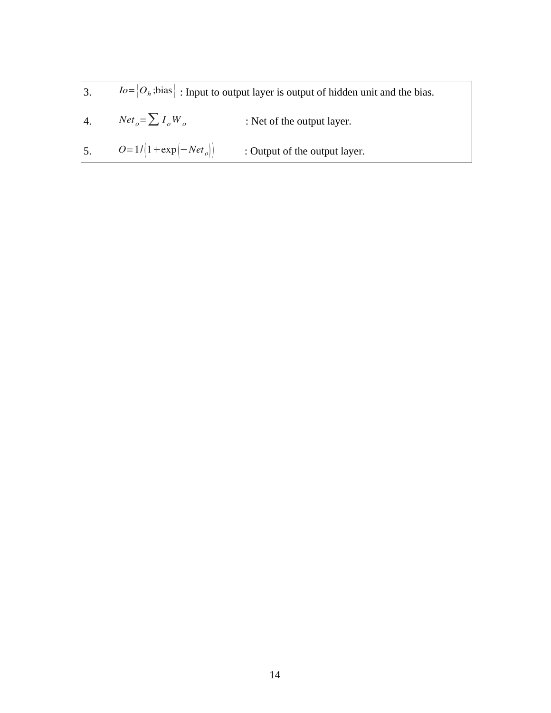|    | 5. $O=1/[1+\exp[-Net_{o}])$                                                               | : Output of the output layer. |  |  |  |  |
|----|-------------------------------------------------------------------------------------------|-------------------------------|--|--|--|--|
|    | 4. $Net_e = \sum I_e W_e$                                                                 | : Net of the output layer.    |  |  |  |  |
| 3. | $I_0 = [O_h; \text{bias}]$ : Input to output layer is output of hidden unit and the bias. |                               |  |  |  |  |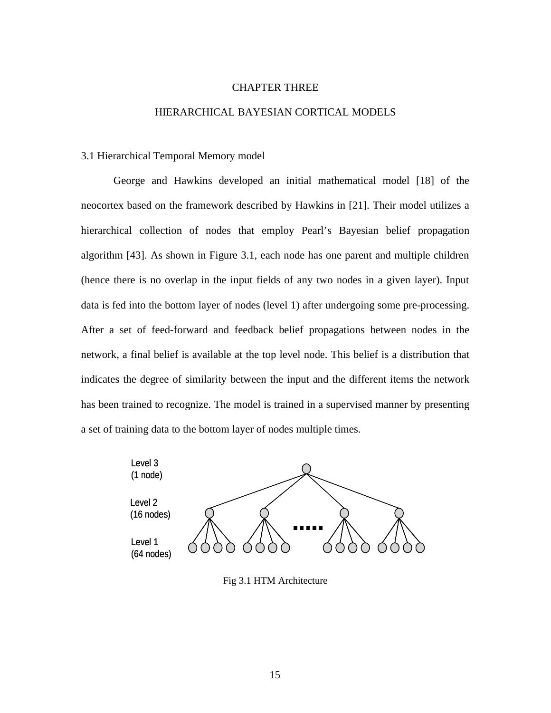#### CHAPTER THREE

#### HIERARCHICAL BAYESIAN CORTICAL MODELS

#### 3.1 Hierarchical Temporal Memory model

George and Hawkins developed an initial mathematical model [18] of the neocortex based on the framework described by Hawkins in [21]. Their model utilizes a hierarchical collection of nodes that employ Pearl's Bayesian belief propagation algorithm [43]. As shown in Figure 3.1, each node has one parent and multiple children (hence there is no overlap in the input fields of any two nodes in a given layer). Input data is fed into the bottom layer of nodes (level 1) after undergoing some pre-processing. After a set of feed-forward and feedback belief propagations between nodes in the network, a final belief is available at the top level node. This belief is a distribution that indicates the degree of similarity between the input and the different items the network has been trained to recognize. The model is trained in a supervised manner by presenting a set of training data to the bottom layer of nodes multiple times.



Fig 3.1 HTM Architecture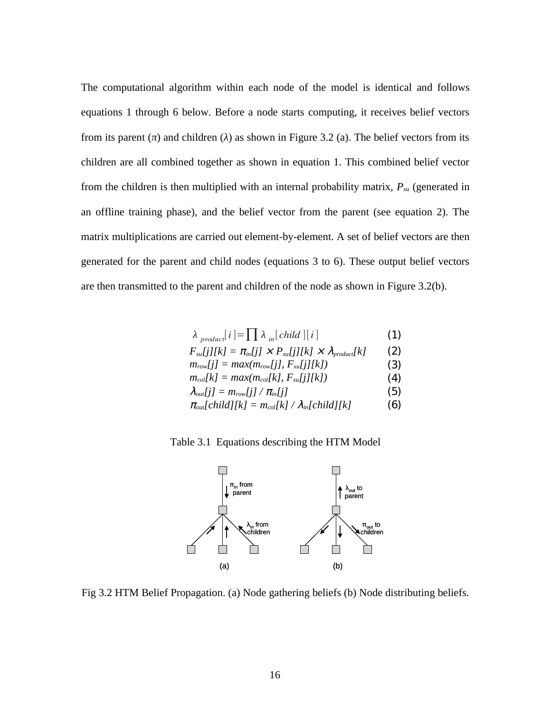The computational algorithm within each node of the model is identical and follows equations 1 through 6 below. Before a node starts computing, it receives belief vectors from its parent (*π*) and children (*λ*) as shown in Figure 3.2 (a). The belief vectors from its children are all combined together as shown in equation 1. This combined belief vector from the children is then multiplied with an internal probability matrix, *Pxu* (generated in an offline training phase), and the belief vector from the parent (see equation 2). The matrix multiplications are carried out element-by-element. A set of belief vectors are then generated for the parent and child nodes (equations 3 to 6). These output belief vectors are then transmitted to the parent and children of the node as shown in Figure 3.2(b).

$$
\lambda_{\text{product}}[i] = \prod \lambda_{\text{in}}[\text{child}][i] \tag{1}
$$

$$
F_{\text{xu}}[j][k] = \pi_{\text{in}}[j] \times P_{\text{xu}}[j][k] \times \lambda_{\text{product}}[k] \qquad (2)
$$

- $m_{row}[j] = max(m_{row}[j], F_{xu}[j][k])$  (3)
- $m_{col}[k] = max(m_{col}[k], F_{xu}[j][k])$  (4)
- $\lambda_{out}[j] = m_{row}[j] / \pi_{in}[j]$  (5)

$$
\pi_{\text{out}}[\text{child}][k] = m_{\text{col}}[k] / \lambda_{\text{in}}[\text{child}][k] \tag{6}
$$

Table 3.1 Equations describing the HTM Model



Fig 3.2 HTM Belief Propagation. (a) Node gathering beliefs (b) Node distributing beliefs.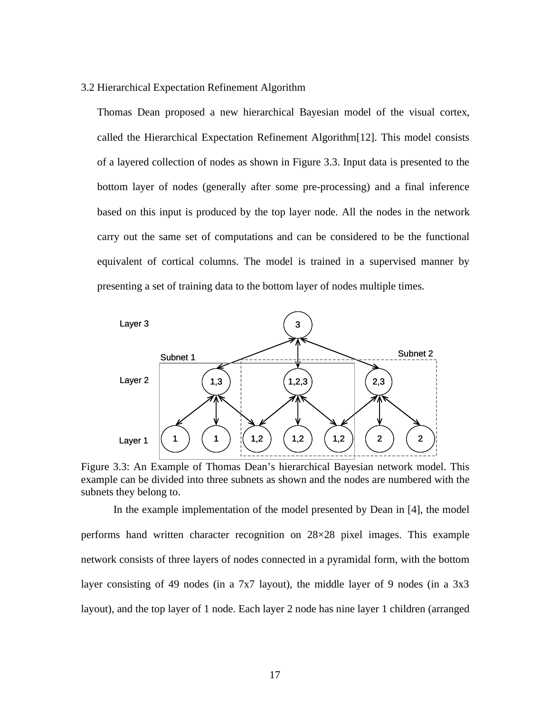3.2 Hierarchical Expectation Refinement Algorithm

Thomas Dean proposed a new hierarchical Bayesian model of the visual cortex, called the Hierarchical Expectation Refinement Algorithm[12]. This model consists of a layered collection of nodes as shown in Figure 3.3. Input data is presented to the bottom layer of nodes (generally after some pre-processing) and a final inference based on this input is produced by the top layer node. All the nodes in the network carry out the same set of computations and can be considered to be the functional equivalent of cortical columns. The model is trained in a supervised manner by presenting a set of training data to the bottom layer of nodes multiple times.



Figure 3.3: An Example of Thomas Dean's hierarchical Bayesian network model. This example can be divided into three subnets as shown and the nodes are numbered with the subnets they belong to.

In the example implementation of the model presented by Dean in [4], the model performs hand written character recognition on 28×28 pixel images. This example network consists of three layers of nodes connected in a pyramidal form, with the bottom layer consisting of 49 nodes (in a  $7x7$  layout), the middle layer of 9 nodes (in a  $3x3$ layout), and the top layer of 1 node. Each layer 2 node has nine layer 1 children (arranged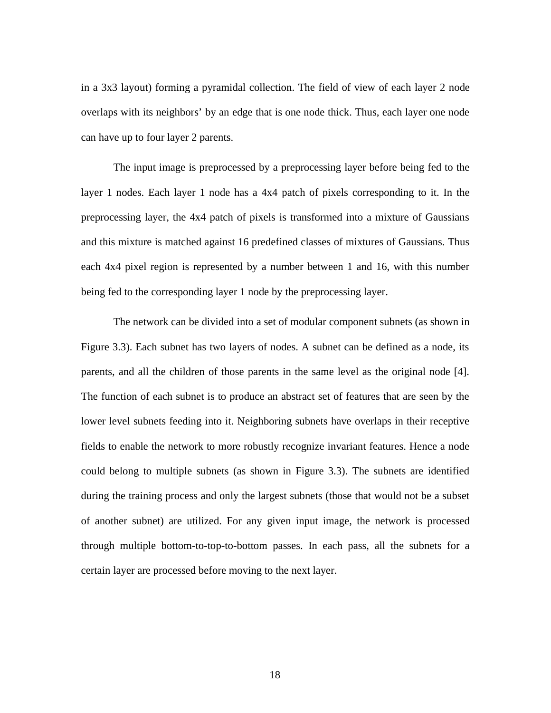in a 3x3 layout) forming a pyramidal collection. The field of view of each layer 2 node overlaps with its neighbors' by an edge that is one node thick. Thus, each layer one node can have up to four layer 2 parents.

The input image is preprocessed by a preprocessing layer before being fed to the layer 1 nodes. Each layer 1 node has a 4x4 patch of pixels corresponding to it. In the preprocessing layer, the 4x4 patch of pixels is transformed into a mixture of Gaussians and this mixture is matched against 16 predefined classes of mixtures of Gaussians. Thus each 4x4 pixel region is represented by a number between 1 and 16, with this number being fed to the corresponding layer 1 node by the preprocessing layer.

The network can be divided into a set of modular component subnets (as shown in Figure 3.3). Each subnet has two layers of nodes. A subnet can be defined as a node, its parents, and all the children of those parents in the same level as the original node [4]. The function of each subnet is to produce an abstract set of features that are seen by the lower level subnets feeding into it. Neighboring subnets have overlaps in their receptive fields to enable the network to more robustly recognize invariant features. Hence a node could belong to multiple subnets (as shown in Figure 3.3). The subnets are identified during the training process and only the largest subnets (those that would not be a subset of another subnet) are utilized. For any given input image, the network is processed through multiple bottom-to-top-to-bottom passes. In each pass, all the subnets for a certain layer are processed before moving to the next layer.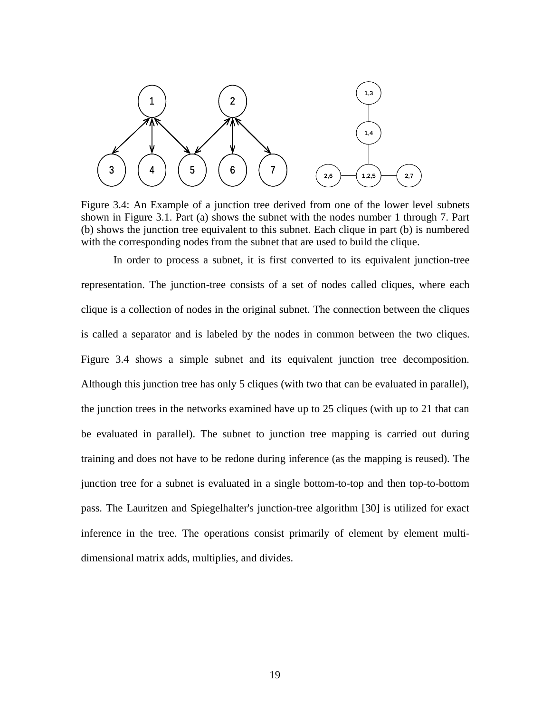

Figure 3.4: An Example of a junction tree derived from one of the lower level subnets shown in Figure 3.1. Part (a) shows the subnet with the nodes number 1 through 7. Part (b) shows the junction tree equivalent to this subnet. Each clique in part (b) is numbered with the corresponding nodes from the subnet that are used to build the clique.

In order to process a subnet, it is first converted to its equivalent junction-tree representation. The junction-tree consists of a set of nodes called cliques, where each clique is a collection of nodes in the original subnet. The connection between the cliques is called a separator and is labeled by the nodes in common between the two cliques. Figure 3.4 shows a simple subnet and its equivalent junction tree decomposition. Although this junction tree has only 5 cliques (with two that can be evaluated in parallel), the junction trees in the networks examined have up to 25 cliques (with up to 21 that can be evaluated in parallel). The subnet to junction tree mapping is carried out during training and does not have to be redone during inference (as the mapping is reused). The junction tree for a subnet is evaluated in a single bottom-to-top and then top-to-bottom pass. The Lauritzen and Spiegelhalter's junction-tree algorithm [30] is utilized for exact inference in the tree. The operations consist primarily of element by element multidimensional matrix adds, multiplies, and divides.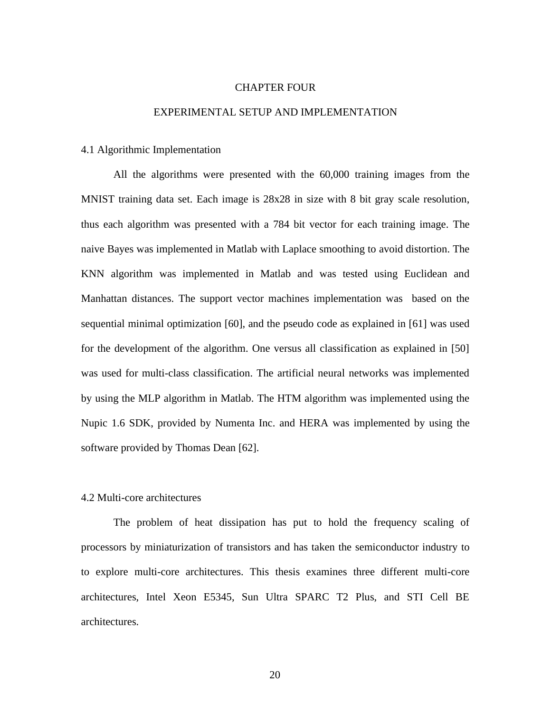#### CHAPTER FOUR

#### EXPERIMENTAL SETUP AND IMPLEMENTATION

#### 4.1 Algorithmic Implementation

All the algorithms were presented with the 60,000 training images from the MNIST training data set. Each image is 28x28 in size with 8 bit gray scale resolution, thus each algorithm was presented with a 784 bit vector for each training image. The naive Bayes was implemented in Matlab with Laplace smoothing to avoid distortion. The KNN algorithm was implemented in Matlab and was tested using Euclidean and Manhattan distances. The support vector machines implementation was based on the sequential minimal optimization [60], and the pseudo code as explained in [61] was used for the development of the algorithm. One versus all classification as explained in [50] was used for multi-class classification. The artificial neural networks was implemented by using the MLP algorithm in Matlab. The HTM algorithm was implemented using the Nupic 1.6 SDK, provided by Numenta Inc. and HERA was implemented by using the software provided by Thomas Dean [62].

#### 4.2 Multi-core architectures

The problem of heat dissipation has put to hold the frequency scaling of processors by miniaturization of transistors and has taken the semiconductor industry to to explore multi-core architectures. This thesis examines three different multi-core architectures, Intel Xeon E5345, Sun Ultra SPARC T2 Plus, and STI Cell BE architectures.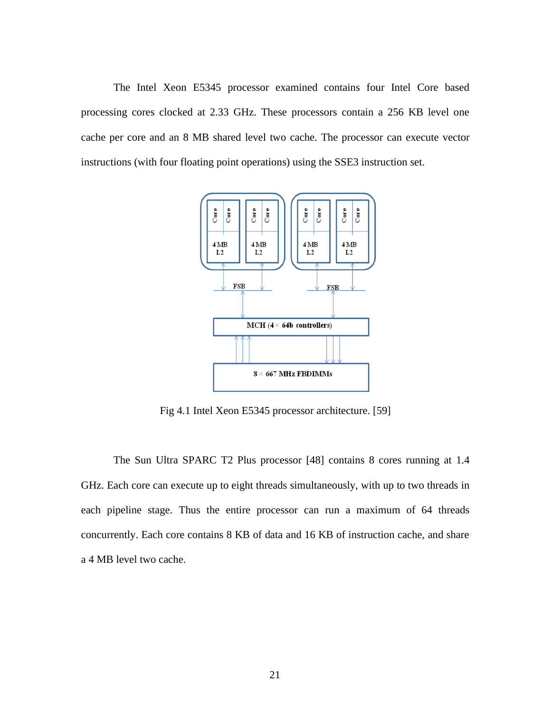The Intel Xeon E5345 processor examined contains four Intel Core based processing cores clocked at 2.33 GHz. These processors contain a 256 KB level one cache per core and an 8 MB shared level two cache. The processor can execute vector instructions (with four floating point operations) using the SSE3 instruction set.



Fig 4.1 Intel Xeon E5345 processor architecture. [59]

The Sun Ultra SPARC T2 Plus processor [48] contains 8 cores running at 1.4 GHz. Each core can execute up to eight threads simultaneously, with up to two threads in each pipeline stage. Thus the entire processor can run a maximum of 64 threads concurrently. Each core contains 8 KB of data and 16 KB of instruction cache, and share a 4 MB level two cache.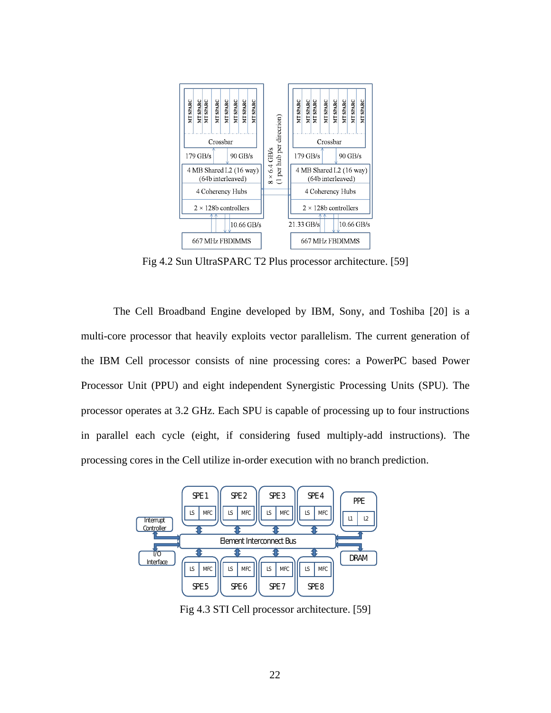

Fig 4.2 Sun UltraSPARC T2 Plus processor architecture. [59]

The Cell Broadband Engine developed by IBM, Sony, and Toshiba [20] is a multi-core processor that heavily exploits vector parallelism. The current generation of the IBM Cell processor consists of nine processing cores: a PowerPC based Power Processor Unit (PPU) and eight independent Synergistic Processing Units (SPU). The processor operates at 3.2 GHz. Each SPU is capable of processing up to four instructions in parallel each cycle (eight, if considering fused multiply-add instructions). The processing cores in the Cell utilize in-order execution with no branch prediction.



Fig 4.3 STI Cell processor architecture. [59]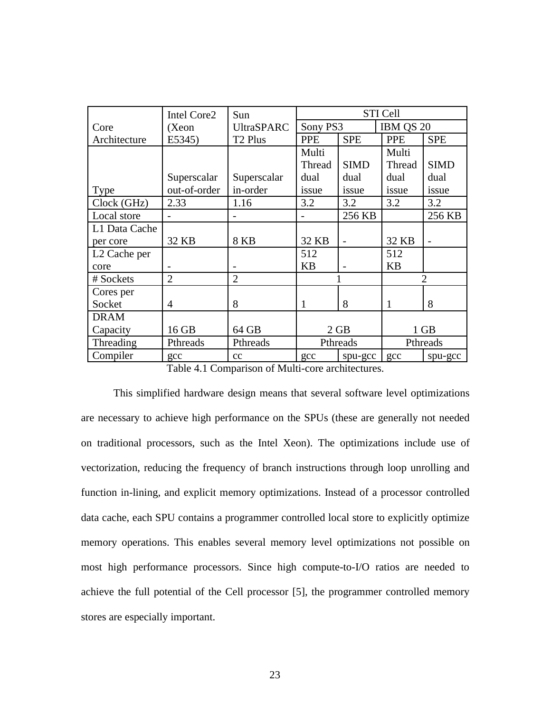|                          | <b>Intel Core2</b> | Sun                 | <b>STI Cell</b> |             |            |             |
|--------------------------|--------------------|---------------------|-----------------|-------------|------------|-------------|
| Core                     | (Xeon              | <b>UltraSPARC</b>   | Sony PS3        |             | IBM QS 20  |             |
| Architecture             | E5345)             | T <sub>2</sub> Plus | <b>PPE</b>      | <b>SPE</b>  | <b>PPE</b> | <b>SPE</b>  |
|                          |                    |                     | Multi           |             | Multi      |             |
|                          |                    |                     | Thread          | <b>SIMD</b> | Thread     | <b>SIMD</b> |
|                          | Superscalar        | Superscalar         | dual            | dual        | dual       | dual        |
| <b>Type</b>              | out-of-order       | in-order            | issue           | issue       | issue      | issue       |
| Clock (GHz)              | 2.33               | 1.16                | 3.2             | 3.2         | 3.2        | 3.2         |
| Local store              |                    |                     |                 | 256 KB      |            | 256 KB      |
| L1 Data Cache            |                    |                     |                 |             |            |             |
| per core                 | 32 KB              | 8 KB                | 32 KB           |             | 32 KB      |             |
| L <sub>2</sub> Cache per |                    |                     | 512             |             | 512        |             |
| core                     |                    |                     | KB              |             | KB         |             |
| # Sockets                | 2                  | 2                   |                 | 1           |            | フ           |
| Cores per                |                    |                     |                 |             |            |             |
| Socket                   | 4                  | 8                   | $\mathbf{1}$    | 8           | 1          | 8           |
| <b>DRAM</b>              |                    |                     |                 |             |            |             |
| Capacity                 | 16 GB              | 64 GB               | 2 GB            |             | $1$ GB     |             |
| Threading                | Pthreads           | Pthreads            | Pthreads        |             | Pthreads   |             |
| Compiler                 | gcc                | cc                  | gcc             | spu-gcc     | gcc        | spu-gcc     |

Table 4.1 Comparison of Multi-core architectures.

This simplified hardware design means that several software level optimizations are necessary to achieve high performance on the SPUs (these are generally not needed on traditional processors, such as the Intel Xeon). The optimizations include use of vectorization, reducing the frequency of branch instructions through loop unrolling and function in-lining, and explicit memory optimizations. Instead of a processor controlled data cache, each SPU contains a programmer controlled local store to explicitly optimize memory operations. This enables several memory level optimizations not possible on most high performance processors. Since high compute-to-I/O ratios are needed to achieve the full potential of the Cell processor [5], the programmer controlled memory stores are especially important.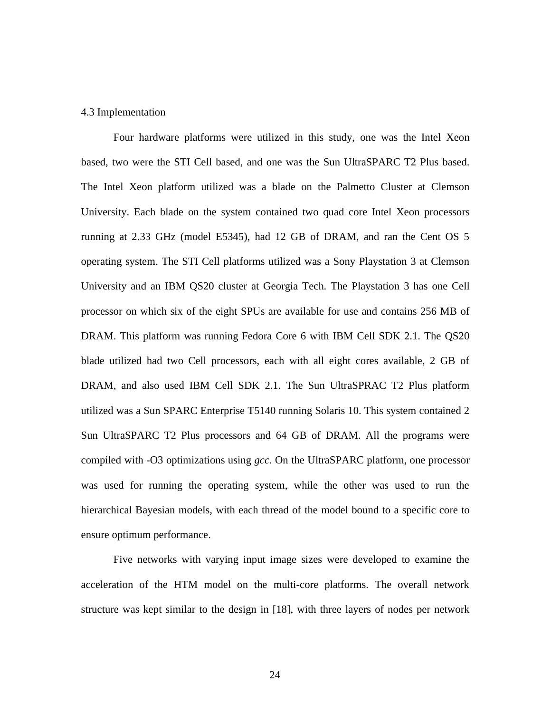#### 4.3 Implementation

Four hardware platforms were utilized in this study, one was the Intel Xeon based, two were the STI Cell based, and one was the Sun UltraSPARC T2 Plus based. The Intel Xeon platform utilized was a blade on the Palmetto Cluster at Clemson University. Each blade on the system contained two quad core Intel Xeon processors running at 2.33 GHz (model E5345), had 12 GB of DRAM, and ran the Cent OS 5 operating system. The STI Cell platforms utilized was a Sony Playstation 3 at Clemson University and an IBM QS20 cluster at Georgia Tech. The Playstation 3 has one Cell processor on which six of the eight SPUs are available for use and contains 256 MB of DRAM. This platform was running Fedora Core 6 with IBM Cell SDK 2.1. The QS20 blade utilized had two Cell processors, each with all eight cores available, 2 GB of DRAM, and also used IBM Cell SDK 2.1. The Sun UltraSPRAC T2 Plus platform utilized was a Sun SPARC Enterprise T5140 running Solaris 10. This system contained 2 Sun UltraSPARC T2 Plus processors and 64 GB of DRAM. All the programs were compiled with -O3 optimizations using *gcc*. On the UltraSPARC platform, one processor was used for running the operating system, while the other was used to run the hierarchical Bayesian models, with each thread of the model bound to a specific core to ensure optimum performance.

Five networks with varying input image sizes were developed to examine the acceleration of the HTM model on the multi-core platforms. The overall network structure was kept similar to the design in [18], with three layers of nodes per network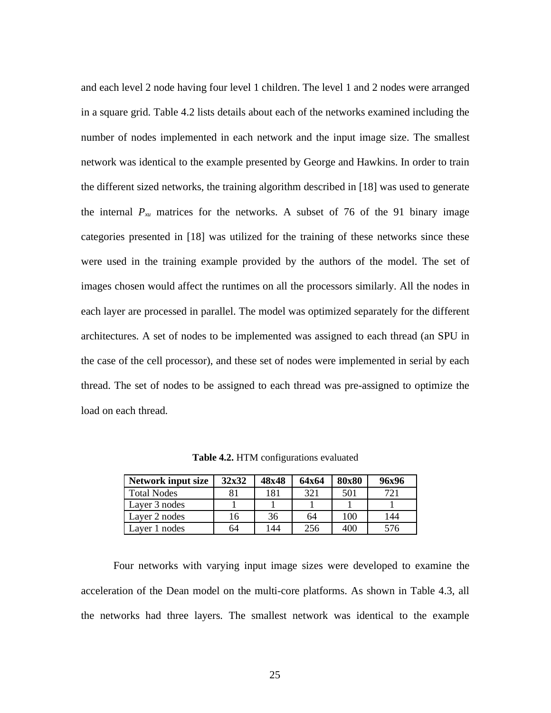and each level 2 node having four level 1 children. The level 1 and 2 nodes were arranged in a square grid. Table 4.2 lists details about each of the networks examined including the number of nodes implemented in each network and the input image size. The smallest network was identical to the example presented by George and Hawkins. In order to train the different sized networks, the training algorithm described in [18] was used to generate the internal  $P_{\lambda u}$  matrices for the networks. A subset of 76 of the 91 binary image categories presented in [18] was utilized for the training of these networks since these were used in the training example provided by the authors of the model. The set of images chosen would affect the runtimes on all the processors similarly. All the nodes in each layer are processed in parallel. The model was optimized separately for the different architectures. A set of nodes to be implemented was assigned to each thread (an SPU in the case of the cell processor), and these set of nodes were implemented in serial by each thread. The set of nodes to be assigned to each thread was pre-assigned to optimize the load on each thread.

| <b>Network input size</b> | 32x32 | 48x48 | 64x64 | 80x80 | 96x96 |
|---------------------------|-------|-------|-------|-------|-------|
| <b>Total Nodes</b>        | 81    | 181   | 321   | 501   | 721   |
| Layer 3 nodes             |       |       |       |       |       |
| Laver 2 nodes             | 16    | 36    | 64    | 100   | 144   |
| Laver 1 nodes             | 64    | 144   | 256   | 400   | 576   |

**Table 4.2.** HTM configurations evaluated

Four networks with varying input image sizes were developed to examine the acceleration of the Dean model on the multi-core platforms. As shown in Table 4.3, all the networks had three layers. The smallest network was identical to the example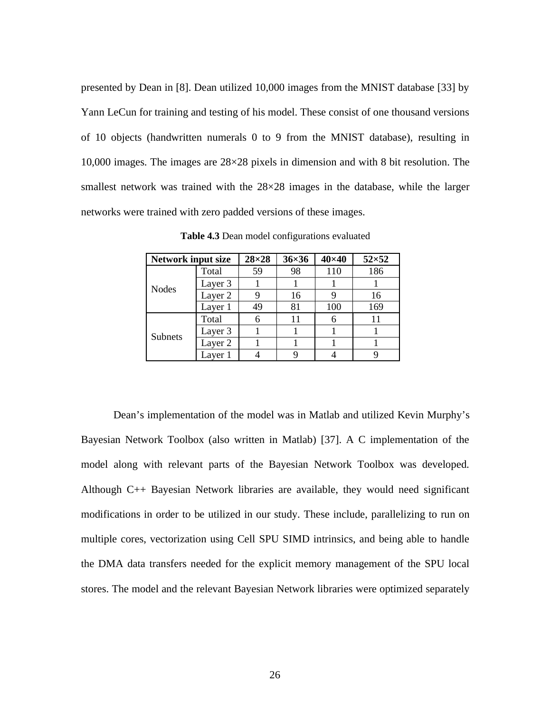presented by Dean in [8]. Dean utilized 10,000 images from the MNIST database [33] by Yann LeCun for training and testing of his model. These consist of one thousand versions of 10 objects (handwritten numerals 0 to 9 from the MNIST database), resulting in 10,000 images. The images are 28×28 pixels in dimension and with 8 bit resolution. The smallest network was trained with the 28×28 images in the database, while the larger networks were trained with zero padded versions of these images.

| <b>Network input size</b> |         | $28 \times 28$ | $36\times36$ | $40\times40$ | $52\times52$ |
|---------------------------|---------|----------------|--------------|--------------|--------------|
| <b>Nodes</b>              | Total   | 59             | 98           | 110          | 186          |
|                           | Layer 3 |                |              |              |              |
|                           | Layer 2 | 9              | 16           | 9            | 16           |
|                           | Layer 1 | 49             | 81           | 100          | 169          |
| <b>Subnets</b>            | Total   | 6              | 11           | 6            | 11           |
|                           | Layer 3 |                |              |              |              |
|                           | Layer 2 |                |              |              |              |
|                           | Layer 1 |                | 9            |              |              |

**Table 4.3** Dean model configurations evaluated

Dean's implementation of the model was in Matlab and utilized Kevin Murphy's Bayesian Network Toolbox (also written in Matlab) [37]. A C implementation of the model along with relevant parts of the Bayesian Network Toolbox was developed. Although C++ Bayesian Network libraries are available, they would need significant modifications in order to be utilized in our study. These include, parallelizing to run on multiple cores, vectorization using Cell SPU SIMD intrinsics, and being able to handle the DMA data transfers needed for the explicit memory management of the SPU local stores. The model and the relevant Bayesian Network libraries were optimized separately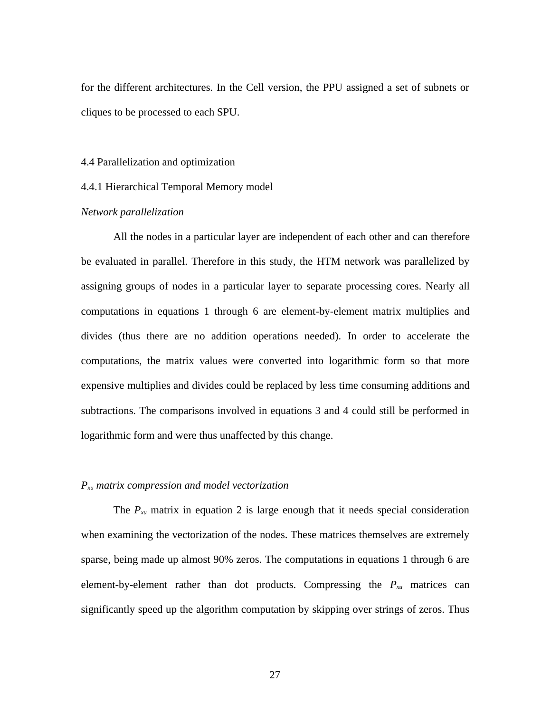for the different architectures. In the Cell version, the PPU assigned a set of subnets or cliques to be processed to each SPU.

#### 4.4 Parallelization and optimization

#### 4.4.1 Hierarchical Temporal Memory model

#### *Network parallelization*

All the nodes in a particular layer are independent of each other and can therefore be evaluated in parallel. Therefore in this study, the HTM network was parallelized by assigning groups of nodes in a particular layer to separate processing cores. Nearly all computations in equations 1 through 6 are element-by-element matrix multiplies and divides (thus there are no addition operations needed). In order to accelerate the computations, the matrix values were converted into logarithmic form so that more expensive multiplies and divides could be replaced by less time consuming additions and subtractions. The comparisons involved in equations 3 and 4 could still be performed in logarithmic form and were thus unaffected by this change.

#### *Pxu matrix compression and model vectorization*

The *Pxu* matrix in equation 2 is large enough that it needs special consideration when examining the vectorization of the nodes. These matrices themselves are extremely sparse, being made up almost 90% zeros. The computations in equations 1 through 6 are element-by-element rather than dot products. Compressing the *Pxu* matrices can significantly speed up the algorithm computation by skipping over strings of zeros. Thus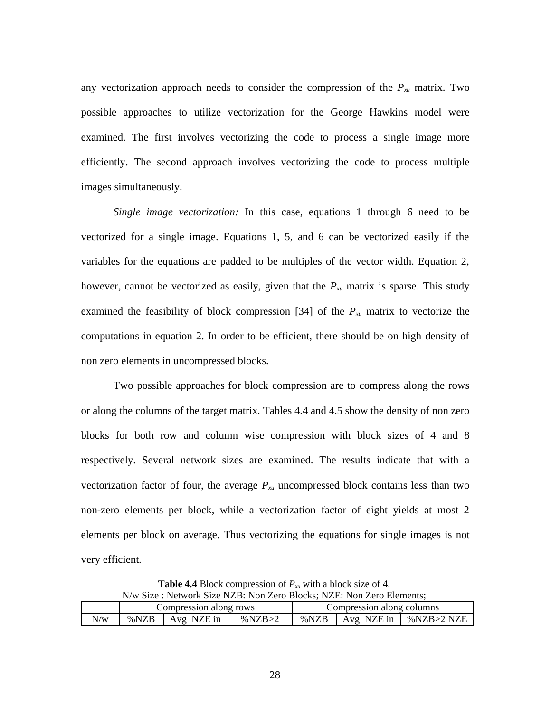any vectorization approach needs to consider the compression of the *Pxu* matrix. Two possible approaches to utilize vectorization for the George Hawkins model were examined. The first involves vectorizing the code to process a single image more efficiently. The second approach involves vectorizing the code to process multiple images simultaneously.

*Single image vectorization:* In this case, equations 1 through 6 need to be vectorized for a single image. Equations 1, 5, and 6 can be vectorized easily if the variables for the equations are padded to be multiples of the vector width. Equation 2, however, cannot be vectorized as easily, given that the *Pxu* matrix is sparse. This study examined the feasibility of block compression [34] of the *Pxu* matrix to vectorize the computations in equation 2. In order to be efficient, there should be on high density of non zero elements in uncompressed blocks.

Two possible approaches for block compression are to compress along the rows or along the columns of the target matrix. Tables 4.4 and 4.5 show the density of non zero blocks for both row and column wise compression with block sizes of 4 and 8 respectively. Several network sizes are examined. The results indicate that with a vectorization factor of four, the average *Pxu* uncompressed block contains less than two non-zero elements per block, while a vectorization factor of eight yields at most 2 elements per block on average. Thus vectorizing the equations for single images is not very efficient.

**Table 4.4** Block compression of *Pxu* with a block size of 4. N/w Size : Network Size NZB: Non Zero Blocks; NZE: Non Zero Elements;

|     | Compression along rows |            |        |      | Compression along columns |            |
|-----|------------------------|------------|--------|------|---------------------------|------------|
| N/w | %NZB                   | Avg NZE in | %NZB>2 | %NZB | Avg NZE in                | %NZB>2 NZE |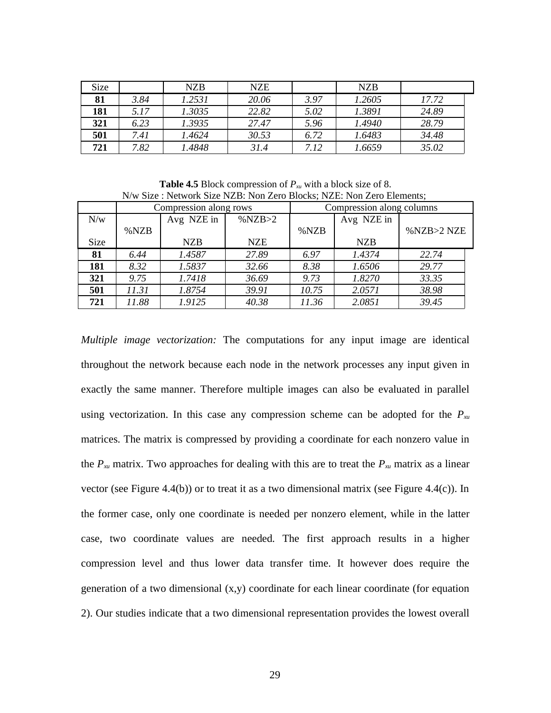| Size |      | NZB    | <b>NZE</b> |      | <b>NZB</b> |       |
|------|------|--------|------------|------|------------|-------|
| 81   | 3.84 | 1.2531 | 20.06      | 3.97 | 1.2605     | 17.72 |
| 181  | 5.17 | 1.3035 | 22.82      | 5.02 | 1.3891     | 24.89 |
| 321  | 6.23 | 1.3935 | 27.47      | 5.96 | 1.4940     | 28.79 |
| 501  | 7.41 | 1.4624 | 30.53      | 6.72 | 1.6483     | 34.48 |
| 721  | 7.82 | 1.4848 | 31.4       | 7.12 | 1.6659     | 35.02 |

**Table 4.5** Block compression of *Pxu* with a block size of 8. N/w Size : Network Size NZB: Non Zero Blocks; NZE: Non Zero Elements;

|             | Compression along rows |            |            |       | Compression along columns |            |
|-------------|------------------------|------------|------------|-------|---------------------------|------------|
| N/w         |                        | Avg NZE in | %NZB>2     |       | Avg NZE in                |            |
|             | %NZB                   |            |            | %NZB  |                           | %NZB>2 NZE |
| <b>Size</b> |                        | <b>NZB</b> | <b>NZE</b> |       | <b>NZB</b>                |            |
| 81          | 6.44                   | 1.4587     | 27.89      | 6.97  | 1.4374                    | 22.74      |
| 181         | 8.32                   | 1.5837     | 32.66      | 8.38  | 1.6506                    | 29.77      |
| 321         | 9.75                   | 1.7418     | 36.69      | 9.73  | 1.8270                    | 33.35      |
| 501         | 11.31                  | 1.8754     | 39.91      | 10.75 | 2.0571                    | 38.98      |
| 721         | 11.88                  | 1.9125     | 40.38      | 11.36 | 2.0851                    | 39.45      |

*Multiple image vectorization:* The computations for any input image are identical throughout the network because each node in the network processes any input given in exactly the same manner. Therefore multiple images can also be evaluated in parallel using vectorization. In this case any compression scheme can be adopted for the *Pxu* matrices. The matrix is compressed by providing a coordinate for each nonzero value in the *Pxu* matrix. Two approaches for dealing with this are to treat the *Pxu* matrix as a linear vector (see Figure 4.4(b)) or to treat it as a two dimensional matrix (see Figure 4.4(c)). In the former case, only one coordinate is needed per nonzero element, while in the latter case, two coordinate values are needed. The first approach results in a higher compression level and thus lower data transfer time. It however does require the generation of a two dimensional (x,y) coordinate for each linear coordinate (for equation 2). Our studies indicate that a two dimensional representation provides the lowest overall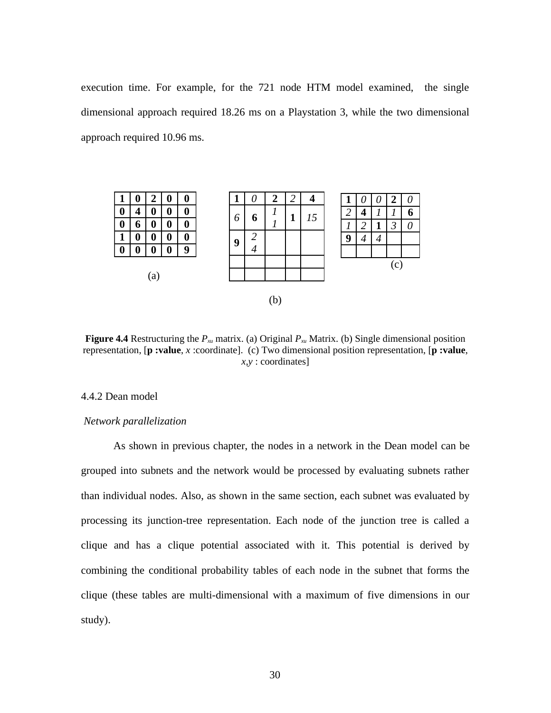execution time. For example, for the 721 node HTM model examined, the single dimensional approach required 18.26 ms on a Playstation 3, while the two dimensional approach required 10.96 ms.



**Figure 4.4** Restructuring the *Pxu* matrix. (a) Original *Pxu* Matrix. (b) Single dimensional position representation, [**p :value**, *x* :coordinate]. (c) Two dimensional position representation, [**p :value**, *x,y* : coordinates]

# 4.4.2 Dean model

#### *Network parallelization*

As shown in previous chapter, the nodes in a network in the Dean model can be grouped into subnets and the network would be processed by evaluating subnets rather than individual nodes. Also, as shown in the same section, each subnet was evaluated by processing its junction-tree representation. Each node of the junction tree is called a clique and has a clique potential associated with it. This potential is derived by combining the conditional probability tables of each node in the subnet that forms the clique (these tables are multi-dimensional with a maximum of five dimensions in our study).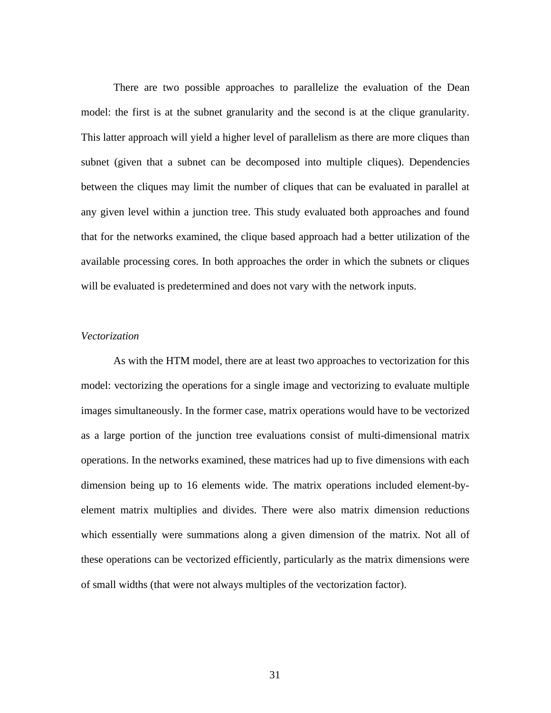There are two possible approaches to parallelize the evaluation of the Dean model: the first is at the subnet granularity and the second is at the clique granularity. This latter approach will yield a higher level of parallelism as there are more cliques than subnet (given that a subnet can be decomposed into multiple cliques). Dependencies between the cliques may limit the number of cliques that can be evaluated in parallel at any given level within a junction tree. This study evaluated both approaches and found that for the networks examined, the clique based approach had a better utilization of the available processing cores. In both approaches the order in which the subnets or cliques will be evaluated is predetermined and does not vary with the network inputs.

## *Vectorization*

As with the HTM model, there are at least two approaches to vectorization for this model: vectorizing the operations for a single image and vectorizing to evaluate multiple images simultaneously. In the former case, matrix operations would have to be vectorized as a large portion of the junction tree evaluations consist of multi-dimensional matrix operations. In the networks examined, these matrices had up to five dimensions with each dimension being up to 16 elements wide. The matrix operations included element-byelement matrix multiplies and divides. There were also matrix dimension reductions which essentially were summations along a given dimension of the matrix. Not all of these operations can be vectorized efficiently, particularly as the matrix dimensions were of small widths (that were not always multiples of the vectorization factor).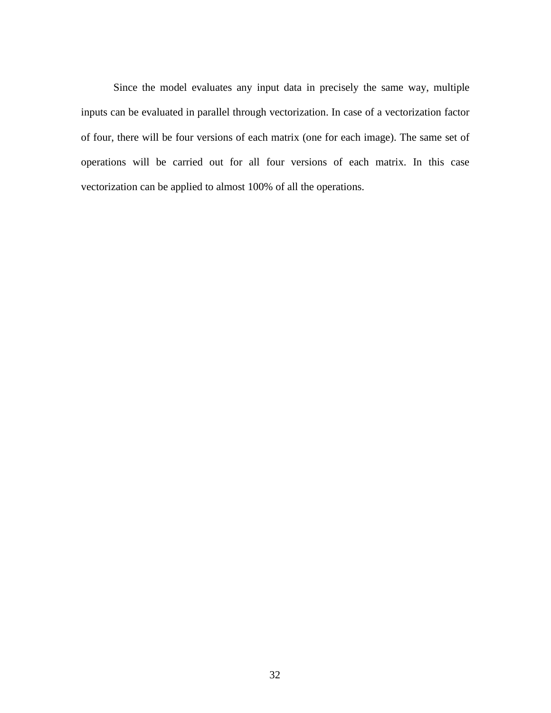Since the model evaluates any input data in precisely the same way, multiple inputs can be evaluated in parallel through vectorization. In case of a vectorization factor of four, there will be four versions of each matrix (one for each image). The same set of operations will be carried out for all four versions of each matrix. In this case vectorization can be applied to almost 100% of all the operations.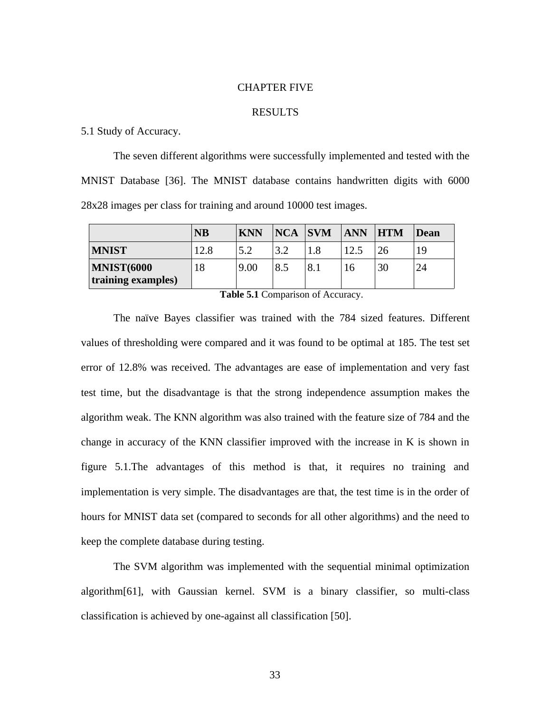#### CHAPTER FIVE

#### RESULTS

## 5.1 Study of Accuracy.

The seven different algorithms were successfully implemented and tested with the MNIST Database [36]. The MNIST database contains handwritten digits with 6000 28x28 images per class for training and around 10000 test images.

|                                         | <b>NB</b> | <b>KNN</b> | $NCA$ $SVM$ |     | <b>ANN</b> | $H$ <b>TM</b> | Dean |
|-----------------------------------------|-----------|------------|-------------|-----|------------|---------------|------|
| <b>MNIST</b>                            | 12.8      | 5.2        | 3.2         | 1.8 | 12.5       | 26            | 19   |
| <b>MNIST(6000</b><br>training examples) | 18        | 9.00       | 8.5         | 8.1 | 16         | 30            | 24   |

**Table 5.1** Comparison of Accuracy.

The naïve Bayes classifier was trained with the 784 sized features. Different values of thresholding were compared and it was found to be optimal at 185. The test set error of 12.8% was received. The advantages are ease of implementation and very fast test time, but the disadvantage is that the strong independence assumption makes the algorithm weak. The KNN algorithm was also trained with the feature size of 784 and the change in accuracy of the KNN classifier improved with the increase in K is shown in figure 5.1.The advantages of this method is that, it requires no training and implementation is very simple. The disadvantages are that, the test time is in the order of hours for MNIST data set (compared to seconds for all other algorithms) and the need to keep the complete database during testing.

The SVM algorithm was implemented with the sequential minimal optimization algorithm[61], with Gaussian kernel. SVM is a binary classifier, so multi-class classification is achieved by one-against all classification [50].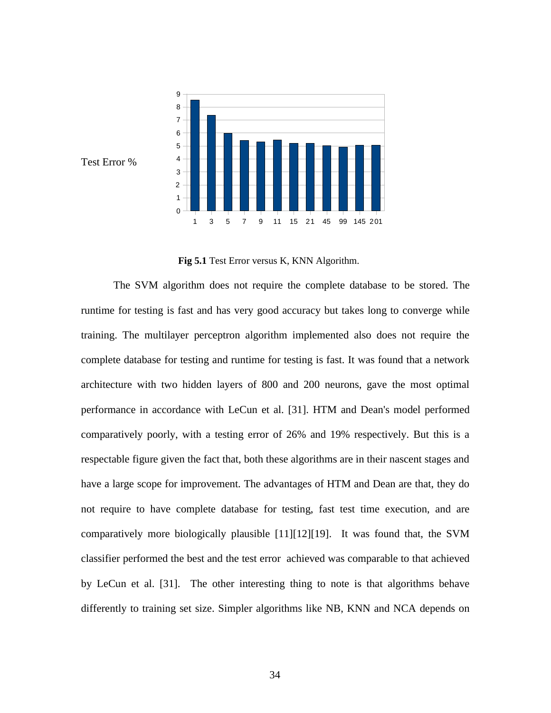

Test Error %

**Fig 5.1** Test Error versus K, KNN Algorithm.

The SVM algorithm does not require the complete database to be stored. The runtime for testing is fast and has very good accuracy but takes long to converge while training. The multilayer perceptron algorithm implemented also does not require the complete database for testing and runtime for testing is fast. It was found that a network architecture with two hidden layers of 800 and 200 neurons, gave the most optimal performance in accordance with LeCun et al. [31]. HTM and Dean's model performed comparatively poorly, with a testing error of 26% and 19% respectively. But this is a respectable figure given the fact that, both these algorithms are in their nascent stages and have a large scope for improvement. The advantages of HTM and Dean are that, they do not require to have complete database for testing, fast test time execution, and are comparatively more biologically plausible [11][12][19]. It was found that, the SVM classifier performed the best and the test error achieved was comparable to that achieved by LeCun et al. [31]. The other interesting thing to note is that algorithms behave differently to training set size. Simpler algorithms like NB, KNN and NCA depends on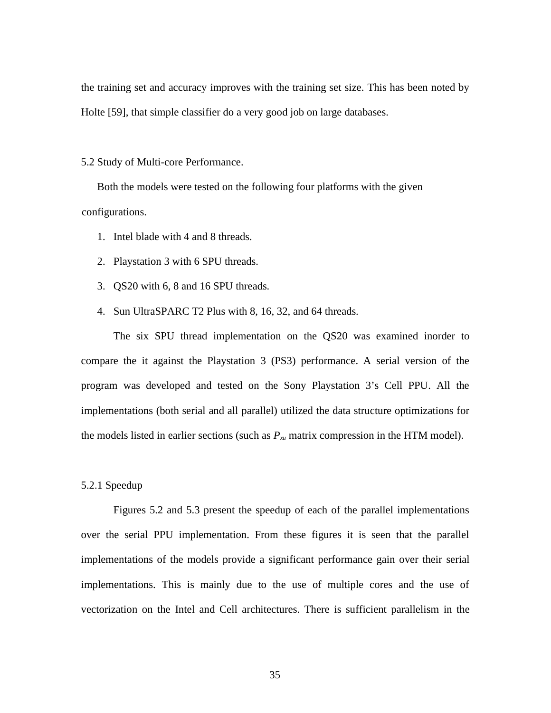the training set and accuracy improves with the training set size. This has been noted by Holte [59], that simple classifier do a very good job on large databases.

5.2 Study of Multi-core Performance.

Both the models were tested on the following four platforms with the given configurations.

- 1. Intel blade with 4 and 8 threads.
- 2. Playstation 3 with 6 SPU threads.
- 3. QS20 with 6, 8 and 16 SPU threads.
- 4. Sun UltraSPARC T2 Plus with 8, 16, 32, and 64 threads.

The six SPU thread implementation on the QS20 was examined inorder to compare the it against the Playstation 3 (PS3) performance. A serial version of the program was developed and tested on the Sony Playstation 3's Cell PPU. All the implementations (both serial and all parallel) utilized the data structure optimizations for the models listed in earlier sections (such as *Pxu* matrix compression in the HTM model).

#### 5.2.1 Speedup

Figures 5.2 and 5.3 present the speedup of each of the parallel implementations over the serial PPU implementation. From these figures it is seen that the parallel implementations of the models provide a significant performance gain over their serial implementations. This is mainly due to the use of multiple cores and the use of vectorization on the Intel and Cell architectures. There is sufficient parallelism in the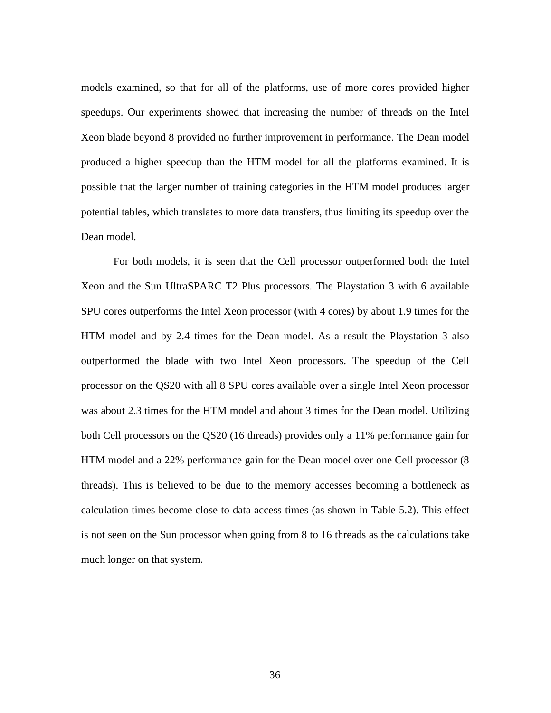models examined, so that for all of the platforms, use of more cores provided higher speedups. Our experiments showed that increasing the number of threads on the Intel Xeon blade beyond 8 provided no further improvement in performance. The Dean model produced a higher speedup than the HTM model for all the platforms examined. It is possible that the larger number of training categories in the HTM model produces larger potential tables, which translates to more data transfers, thus limiting its speedup over the Dean model.

For both models, it is seen that the Cell processor outperformed both the Intel Xeon and the Sun UltraSPARC T2 Plus processors. The Playstation 3 with 6 available SPU cores outperforms the Intel Xeon processor (with 4 cores) by about 1.9 times for the HTM model and by 2.4 times for the Dean model. As a result the Playstation 3 also outperformed the blade with two Intel Xeon processors. The speedup of the Cell processor on the QS20 with all 8 SPU cores available over a single Intel Xeon processor was about 2.3 times for the HTM model and about 3 times for the Dean model. Utilizing both Cell processors on the QS20 (16 threads) provides only a 11% performance gain for HTM model and a 22% performance gain for the Dean model over one Cell processor (8 threads). This is believed to be due to the memory accesses becoming a bottleneck as calculation times become close to data access times (as shown in Table 5.2). This effect is not seen on the Sun processor when going from 8 to 16 threads as the calculations take much longer on that system.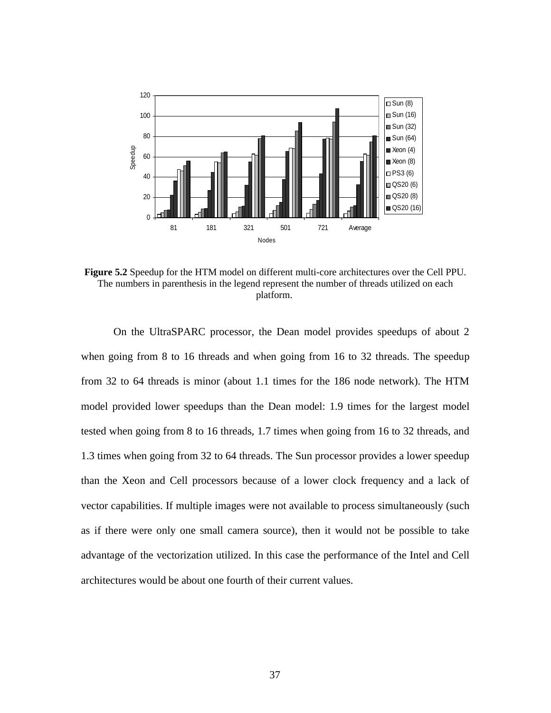

**Figure 5.2** Speedup for the HTM model on different multi-core architectures over the Cell PPU. The numbers in parenthesis in the legend represent the number of threads utilized on each platform.

On the UltraSPARC processor, the Dean model provides speedups of about 2 when going from 8 to 16 threads and when going from 16 to 32 threads. The speedup from 32 to 64 threads is minor (about 1.1 times for the 186 node network). The HTM model provided lower speedups than the Dean model: 1.9 times for the largest model tested when going from 8 to 16 threads, 1.7 times when going from 16 to 32 threads, and 1.3 times when going from 32 to 64 threads. The Sun processor provides a lower speedup than the Xeon and Cell processors because of a lower clock frequency and a lack of vector capabilities. If multiple images were not available to process simultaneously (such as if there were only one small camera source), then it would not be possible to take advantage of the vectorization utilized. In this case the performance of the Intel and Cell architectures would be about one fourth of their current values.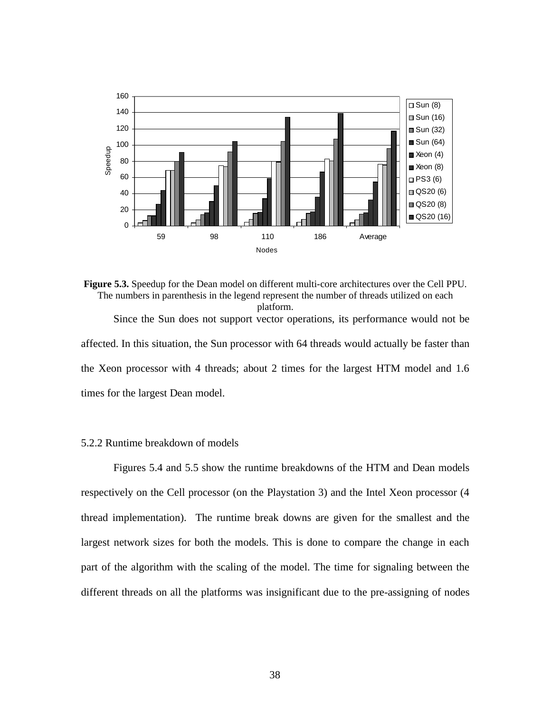

**Figure 5.3.** Speedup for the Dean model on different multi-core architectures over the Cell PPU. The numbers in parenthesis in the legend represent the number of threads utilized on each platform. Since the Sun does not support vector operations, its performance would not be

affected. In this situation, the Sun processor with 64 threads would actually be faster than the Xeon processor with 4 threads; about 2 times for the largest HTM model and 1.6 times for the largest Dean model.

# 5.2.2 Runtime breakdown of models

Figures 5.4 and 5.5 show the runtime breakdowns of the HTM and Dean models respectively on the Cell processor (on the Playstation 3) and the Intel Xeon processor (4 thread implementation). The runtime break downs are given for the smallest and the largest network sizes for both the models. This is done to compare the change in each part of the algorithm with the scaling of the model. The time for signaling between the different threads on all the platforms was insignificant due to the pre-assigning of nodes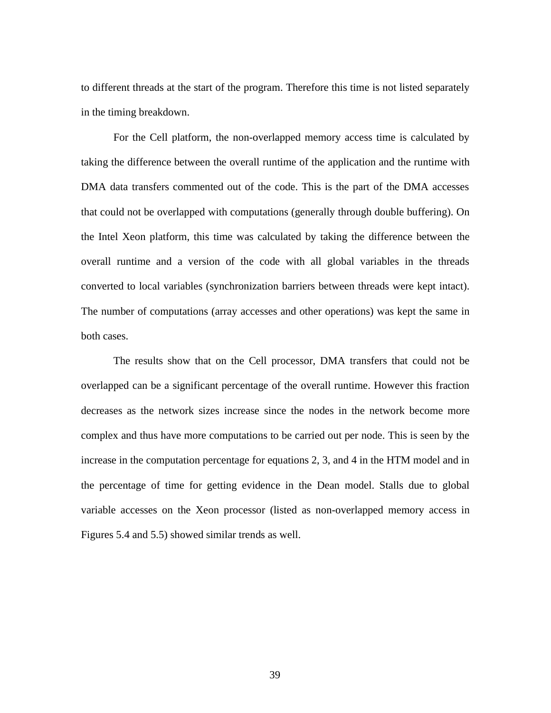to different threads at the start of the program. Therefore this time is not listed separately in the timing breakdown.

For the Cell platform, the non-overlapped memory access time is calculated by taking the difference between the overall runtime of the application and the runtime with DMA data transfers commented out of the code. This is the part of the DMA accesses that could not be overlapped with computations (generally through double buffering). On the Intel Xeon platform, this time was calculated by taking the difference between the overall runtime and a version of the code with all global variables in the threads converted to local variables (synchronization barriers between threads were kept intact). The number of computations (array accesses and other operations) was kept the same in both cases.

The results show that on the Cell processor, DMA transfers that could not be overlapped can be a significant percentage of the overall runtime. However this fraction decreases as the network sizes increase since the nodes in the network become more complex and thus have more computations to be carried out per node. This is seen by the increase in the computation percentage for equations 2, 3, and 4 in the HTM model and in the percentage of time for getting evidence in the Dean model. Stalls due to global variable accesses on the Xeon processor (listed as non-overlapped memory access in Figures 5.4 and 5.5) showed similar trends as well.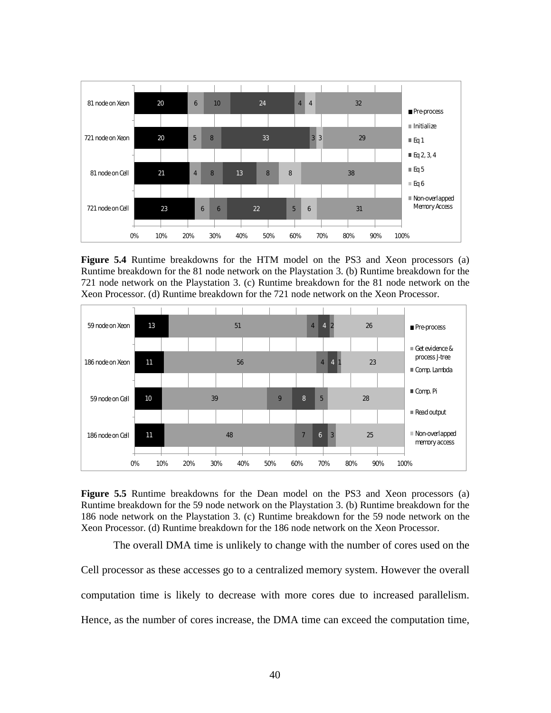

**Figure 5.4** Runtime breakdowns for the HTM model on the PS3 and Xeon processors (a) Runtime breakdown for the 81 node network on the Playstation 3. (b) Runtime breakdown for the 721 node network on the Playstation 3. (c) Runtime breakdown for the 81 node network on the Xeon Processor. (d) Runtime breakdown for the 721 node network on the Xeon Processor.



**Figure 5.5** Runtime breakdowns for the Dean model on the PS3 and Xeon processors (a) Runtime breakdown for the 59 node network on the Playstation 3. (b) Runtime breakdown for the 186 node network on the Playstation 3. (c) Runtime breakdown for the 59 node network on the Xeon Processor. (d) Runtime breakdown for the 186 node network on the Xeon Processor.

The overall DMA time is unlikely to change with the number of cores used on the

Cell processor as these accesses go to a centralized memory system. However the overall computation time is likely to decrease with more cores due to increased parallelism. Hence, as the number of cores increase, the DMA time can exceed the computation time,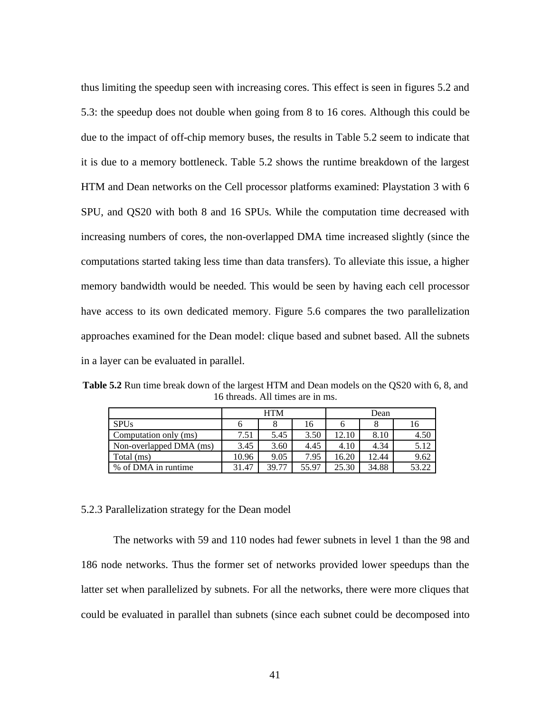thus limiting the speedup seen with increasing cores. This effect is seen in figures 5.2 and 5.3: the speedup does not double when going from 8 to 16 cores. Although this could be due to the impact of off-chip memory buses, the results in Table 5.2 seem to indicate that it is due to a memory bottleneck. Table 5.2 shows the runtime breakdown of the largest HTM and Dean networks on the Cell processor platforms examined: Playstation 3 with 6 SPU, and QS20 with both 8 and 16 SPUs. While the computation time decreased with increasing numbers of cores, the non-overlapped DMA time increased slightly (since the computations started taking less time than data transfers). To alleviate this issue, a higher memory bandwidth would be needed. This would be seen by having each cell processor have access to its own dedicated memory. Figure 5.6 compares the two parallelization approaches examined for the Dean model: clique based and subnet based. All the subnets in a layer can be evaluated in parallel.

**Table 5.2** Run time break down of the largest HTM and Dean models on the QS20 with 6, 8, and 16 threads. All times are in ms.

|                         |       | <b>HTM</b> |       | Dean  |       |       |  |
|-------------------------|-------|------------|-------|-------|-------|-------|--|
| <b>SPUs</b>             | o     |            | 16    |       |       | 16    |  |
| Computation only (ms)   | 7.51  | 5.45       | 3.50  | 12.10 | 8.10  | 4.50  |  |
| Non-overlapped DMA (ms) | 3.45  | 3.60       | 4.45  | 4.10  | 4.34  | 5.12  |  |
| Total (ms)              | 10.96 | 9.05       | 7.95  | 16.20 | 12.44 | 9.62  |  |
| % of DMA in runtime     | 31.47 | 39.77      | 55.97 | 25.30 | 34.88 | 53.22 |  |

#### 5.2.3 Parallelization strategy for the Dean model

The networks with 59 and 110 nodes had fewer subnets in level 1 than the 98 and 186 node networks. Thus the former set of networks provided lower speedups than the latter set when parallelized by subnets. For all the networks, there were more cliques that could be evaluated in parallel than subnets (since each subnet could be decomposed into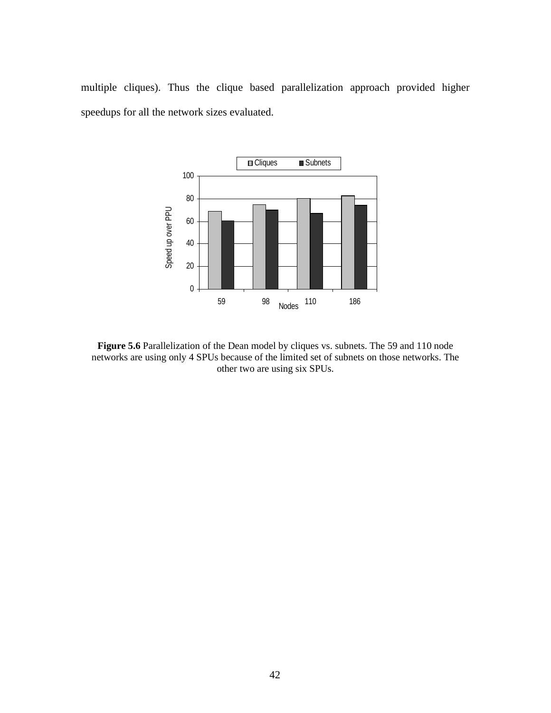multiple cliques). Thus the clique based parallelization approach provided higher speedups for all the network sizes evaluated.



**Figure 5.6** Parallelization of the Dean model by cliques vs. subnets. The 59 and 110 node networks are using only 4 SPUs because of the limited set of subnets on those networks. The other two are using six SPUs.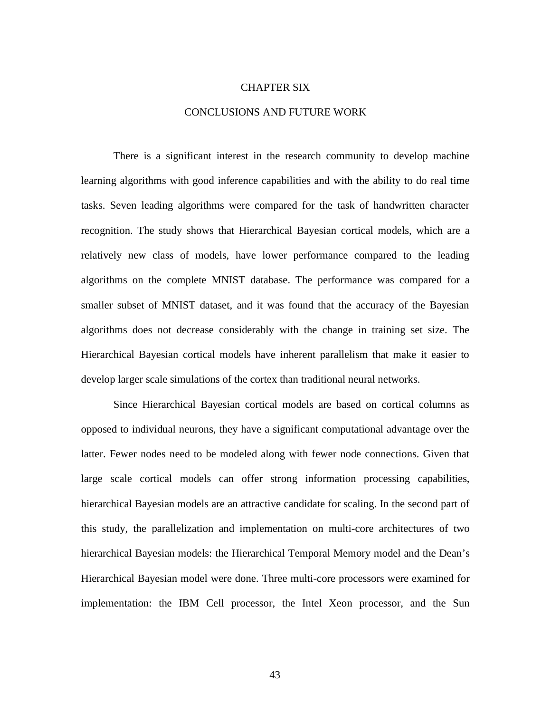#### CHAPTER SIX

#### CONCLUSIONS AND FUTURE WORK

There is a significant interest in the research community to develop machine learning algorithms with good inference capabilities and with the ability to do real time tasks. Seven leading algorithms were compared for the task of handwritten character recognition. The study shows that Hierarchical Bayesian cortical models, which are a relatively new class of models, have lower performance compared to the leading algorithms on the complete MNIST database. The performance was compared for a smaller subset of MNIST dataset, and it was found that the accuracy of the Bayesian algorithms does not decrease considerably with the change in training set size. The Hierarchical Bayesian cortical models have inherent parallelism that make it easier to develop larger scale simulations of the cortex than traditional neural networks.

Since Hierarchical Bayesian cortical models are based on cortical columns as opposed to individual neurons, they have a significant computational advantage over the latter. Fewer nodes need to be modeled along with fewer node connections. Given that large scale cortical models can offer strong information processing capabilities, hierarchical Bayesian models are an attractive candidate for scaling. In the second part of this study, the parallelization and implementation on multi-core architectures of two hierarchical Bayesian models: the Hierarchical Temporal Memory model and the Dean's Hierarchical Bayesian model were done. Three multi-core processors were examined for implementation: the IBM Cell processor, the Intel Xeon processor, and the Sun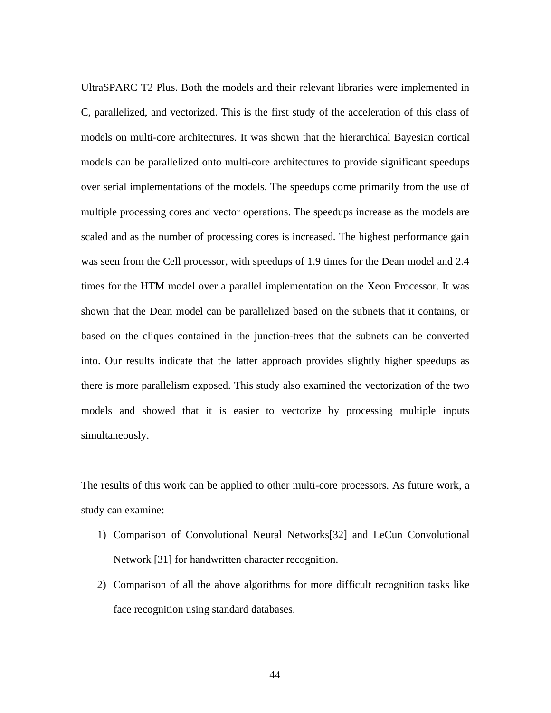UltraSPARC T2 Plus. Both the models and their relevant libraries were implemented in C, parallelized, and vectorized. This is the first study of the acceleration of this class of models on multi-core architectures. It was shown that the hierarchical Bayesian cortical models can be parallelized onto multi-core architectures to provide significant speedups over serial implementations of the models. The speedups come primarily from the use of multiple processing cores and vector operations. The speedups increase as the models are scaled and as the number of processing cores is increased. The highest performance gain was seen from the Cell processor, with speedups of 1.9 times for the Dean model and 2.4 times for the HTM model over a parallel implementation on the Xeon Processor. It was shown that the Dean model can be parallelized based on the subnets that it contains, or based on the cliques contained in the junction-trees that the subnets can be converted into. Our results indicate that the latter approach provides slightly higher speedups as there is more parallelism exposed. This study also examined the vectorization of the two models and showed that it is easier to vectorize by processing multiple inputs simultaneously.

The results of this work can be applied to other multi-core processors. As future work, a study can examine:

- 1) Comparison of Convolutional Neural Networks[32] and LeCun Convolutional Network [31] for handwritten character recognition.
- 2) Comparison of all the above algorithms for more difficult recognition tasks like face recognition using standard databases.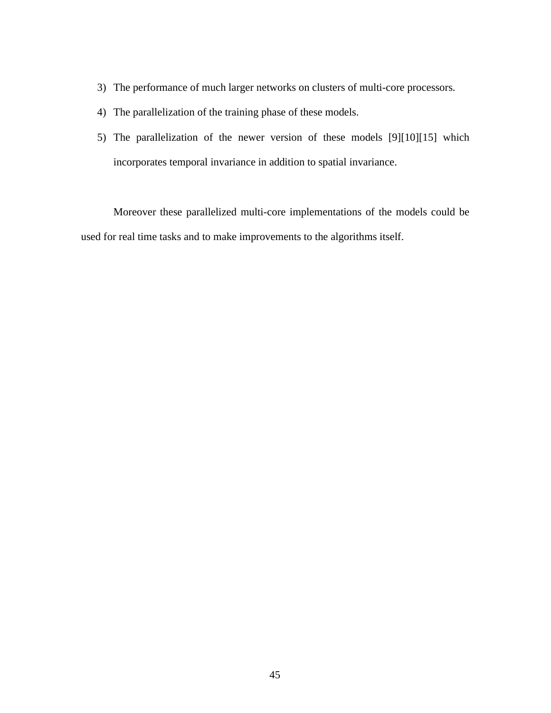- 3) The performance of much larger networks on clusters of multi-core processors.
- 4) The parallelization of the training phase of these models.
- 5) The parallelization of the newer version of these models [9][10][15] which incorporates temporal invariance in addition to spatial invariance.

Moreover these parallelized multi-core implementations of the models could be used for real time tasks and to make improvements to the algorithms itself.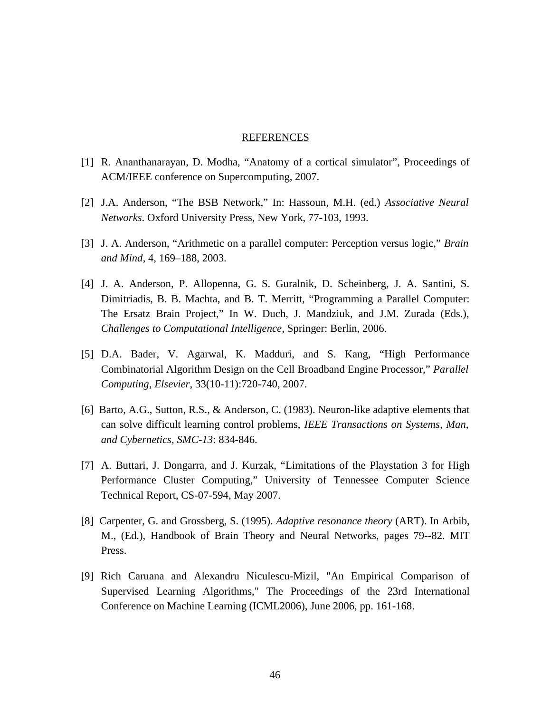#### REFERENCES

- [1] R. Ananthanarayan, D. Modha, "Anatomy of a cortical simulator", Proceedings of ACM/IEEE conference on Supercomputing, 2007.
- [2] J.A. Anderson, "The BSB Network," In: Hassoun, M.H. (ed.) *Associative Neural Networks*. Oxford University Press, New York, 77-103, 1993.
- [3] J. A. Anderson, "Arithmetic on a parallel computer: Perception versus logic," *Brain and Mind*, 4, 169–188, 2003.
- [4] J. A. Anderson, P. Allopenna, G. S. Guralnik, D. Scheinberg, J. A. Santini, S. Dimitriadis, B. B. Machta, and B. T. Merritt, "Programming a Parallel Computer: The Ersatz Brain Project," In W. Duch, J. Mandziuk, and J.M. Zurada (Eds.), *Challenges to Computational Intelligence*, Springer: Berlin, 2006.
- [5] D.A. Bader, V. Agarwal, K. Madduri, and S. Kang, "High Performance Combinatorial Algorithm Design on the Cell Broadband Engine Processor," *Parallel Computing*, *Elsevier,* 33(10-11):720-740, 2007.
- [6] Barto, A.G., Sutton, R.S., & Anderson, C. (1983). Neuron-like adaptive elements that can solve difficult learning control problems, *IEEE Transactions on Systems, Man, and Cybernetics, SMC-13*: 834-846.
- [7] A. Buttari, J. Dongarra, and J. Kurzak, "Limitations of the Playstation 3 for High Performance Cluster Computing," University of Tennessee Computer Science Technical Report, CS-07-594, May 2007.
- [8] Carpenter, G. and Grossberg, S. (1995). *Adaptive resonance theory* (ART). In Arbib, M., (Ed.), Handbook of Brain Theory and Neural Networks, pages 79--82. MIT Press.
- [9] Rich Caruana and Alexandru Niculescu-Mizil, "An Empirical Comparison of Supervised Learning Algorithms," The Proceedings of the 23rd International Conference on Machine Learning (ICML2006), June 2006, pp. 161-168.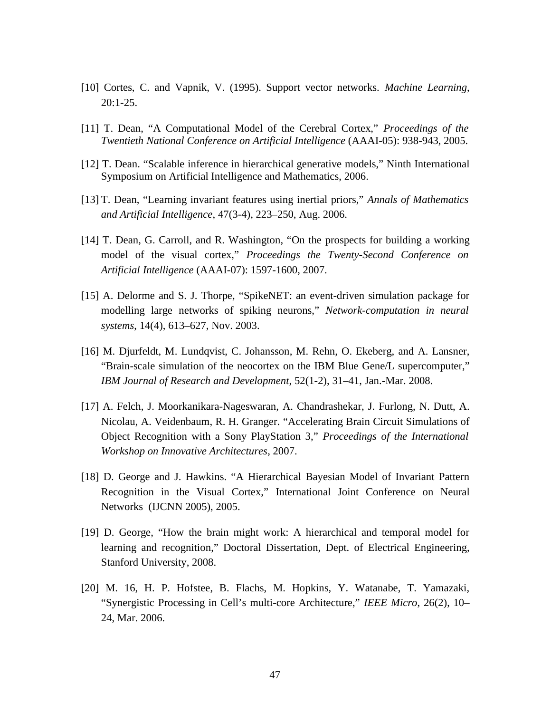- [10] Cortes, C. and Vapnik, V. (1995). Support vector networks. *Machine Learning*, 20:1-25.
- [11] T. Dean, "A Computational Model of the Cerebral Cortex," *Proceedings of the Twentieth National Conference on Artificial Intelligence* (AAAI-05): 938-943, 2005.
- [12] T. Dean. "Scalable inference in hierarchical generative models," Ninth International Symposium on Artificial Intelligence and Mathematics, 2006.
- [13] T. Dean, "Learning invariant features using inertial priors," *Annals of Mathematics and Artificial Intelligence*, 47(3-4), 223–250, Aug. 2006.
- [14] T. Dean, G. Carroll, and R. Washington, "On the prospects for building a working model of the visual cortex," *Proceedings the Twenty-Second Conference on Artificial Intelligence* (AAAI-07): 1597-1600, 2007.
- [15] A. Delorme and S. J. Thorpe, "SpikeNET: an event-driven simulation package for modelling large networks of spiking neurons," *Network-computation in neural systems*, 14(4), 613–627, Nov. 2003.
- [16] M. Djurfeldt, M. Lundqvist, C. Johansson, M. Rehn, O. Ekeberg, and A. Lansner, "Brain-scale simulation of the neocortex on the IBM Blue Gene/L supercomputer," *IBM Journal of Research and Development*, 52(1-2), 31–41, Jan.-Mar. 2008.
- [17] A. Felch, J. Moorkanikara-Nageswaran, A. Chandrashekar, J. Furlong, N. Dutt, A. Nicolau, A. Veidenbaum, R. H. Granger. "Accelerating Brain Circuit Simulations of Object Recognition with a Sony PlayStation 3," *Proceedings of the International Workshop on Innovative Architectures*, 2007.
- [18] D. George and J. Hawkins. "A Hierarchical Bayesian Model of Invariant Pattern Recognition in the Visual Cortex," International Joint Conference on Neural Networks (IJCNN 2005), 2005.
- [19] D. George, "How the brain might work: A hierarchical and temporal model for learning and recognition," Doctoral Dissertation, Dept. of Electrical Engineering, Stanford University, 2008.
- [20] M. 16, H. P. Hofstee, B. Flachs, M. Hopkins, Y. Watanabe, T. Yamazaki, "Synergistic Processing in Cell's multi-core Architecture," *IEEE Micro*, 26(2), 10– 24, Mar. 2006.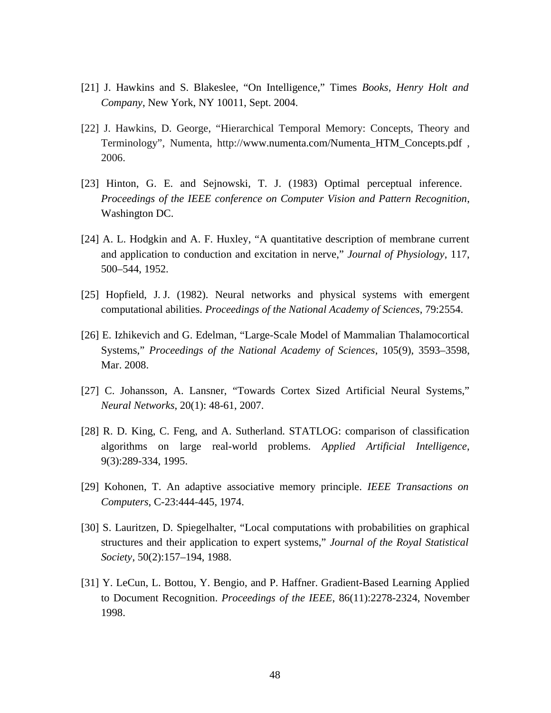- [21] J. Hawkins and S. Blakeslee, "On Intelligence," Times *Books, Henry Holt and Company*, New York, NY 10011, Sept. 2004.
- [22] J. Hawkins, D. George, "Hierarchical Temporal Memory: Concepts, Theory and Terminology", Numenta, http://www.numenta.com/Numenta\_HTM\_Concepts.pdf , 2006.
- [23] Hinton, G. E. and Sejnowski, T. J. (1983) Optimal perceptual inference. *Proceedings of the IEEE conference on Computer Vision and Pattern Recognition*, Washington DC.
- [24] A. L. Hodgkin and A. F. Huxley, "A quantitative description of membrane current and application to conduction and excitation in nerve," *Journal of Physiology*, 117, 500–544, 1952.
- [25] Hopfield, J.J. (1982). Neural networks and physical systems with emergent computational abilities. *Proceedings of the National Academy of Sciences*, 79:2554.
- [26] E. Izhikevich and G. Edelman, "Large-Scale Model of Mammalian Thalamocortical Systems," *Proceedings of the National Academy of Sciences*, 105(9), 3593–3598, Mar. 2008.
- [27] C. Johansson, A. Lansner, "Towards Cortex Sized Artificial Neural Systems," *Neural Networks*, 20(1): 48-61, 2007.
- [28] R. D. King, C. Feng, and A. Sutherland. STATLOG: comparison of classification algorithms on large real-world problems. *Applied Artificial Intelligence*, 9(3):289-334, 1995.
- [29] Kohonen, T. An adaptive associative memory principle. *IEEE Transactions on Computers*, C-23:444-445, 1974.
- [30] S. Lauritzen, D. Spiegelhalter, "Local computations with probabilities on graphical structures and their application to expert systems," *Journal of the Royal Statistical Society*, 50(2):157–194, 1988.
- [31] Y. LeCun, L. Bottou, Y. Bengio, and P. Haffner. Gradient-Based Learning Applied to Document Recognition. *Proceedings of the IEEE*, 86(11):2278-2324, November 1998.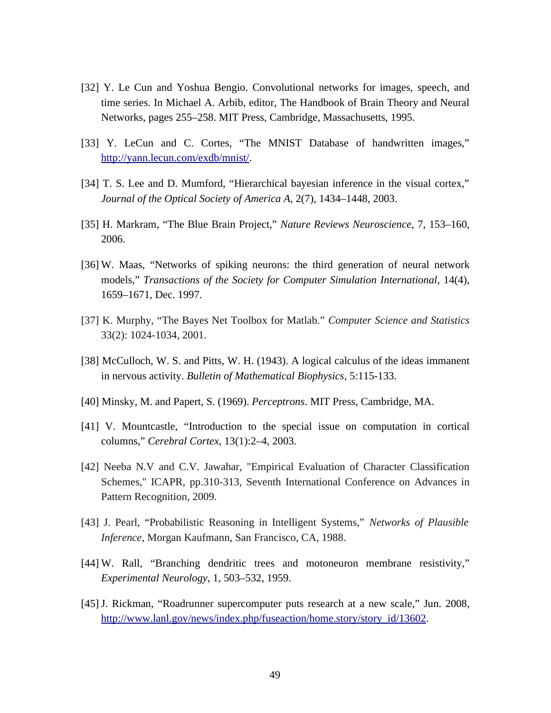- [32] Y. Le Cun and Yoshua Bengio. Convolutional networks for images, speech, and time series. In Michael A. Arbib, editor, The Handbook of Brain Theory and Neural Networks, pages 255–258. MIT Press, Cambridge, Massachusetts, 1995.
- [33] Y. LeCun and C. Cortes, "The MNIST Database of handwritten images," [http://yann.lecun.com/exdb/mnist/.](http://yann.lecun.com/exdb/mnist/)
- [34] T. S. Lee and D. Mumford, "Hierarchical bayesian inference in the visual cortex," *Journal of the Optical Society of America A*, 2(7), 1434–1448, 2003.
- [35] H. Markram, "The Blue Brain Project," *Nature Reviews Neuroscience*, 7, 153–160, 2006.
- [36] W. Maas, "Networks of spiking neurons: the third generation of neural network models," *Transactions of the Society for Computer Simulation International*, 14(4), 1659–1671, Dec. 1997.
- [37] K. Murphy, "The Bayes Net Toolbox for Matlab." *Computer Science and Statistics* 33(2): 1024-1034, 2001.
- [38] McCulloch, W. S. and Pitts, W. H. (1943). A logical calculus of the ideas immanent in nervous activity. *Bulletin of Mathematical Biophysics*, 5:115-133.
- [40] Minsky, M. and Papert, S. (1969). *Perceptrons*. MIT Press, Cambridge, MA.
- [41] V. Mountcastle, "Introduction to the special issue on computation in cortical columns," *Cerebral Cortex*, 13(1):2–4, 2003.
- [42] Neeba N.V and C.V. Jawahar, "Empirical Evaluation of Character Classification Schemes," ICAPR, pp.310-313, Seventh International Conference on Advances in Pattern Recognition, 2009.
- [43] J. Pearl, "Probabilistic Reasoning in Intelligent Systems," *Networks of Plausible Inference*, Morgan Kaufmann, San Francisco, CA, 1988.
- [44] W. Rall, "Branching dendritic trees and motoneuron membrane resistivity," *Experimental Neurology*, 1, 503–532, 1959.
- [45] J. Rickman, "Roadrunner supercomputer puts research at a new scale," Jun. 2008, [http://www.lanl.gov/news/index.php/fuseaction/home.story/story\\_id/13602.](http://www.lanl.gov/news/index.php/fuseaction/home.story/story_id/13602)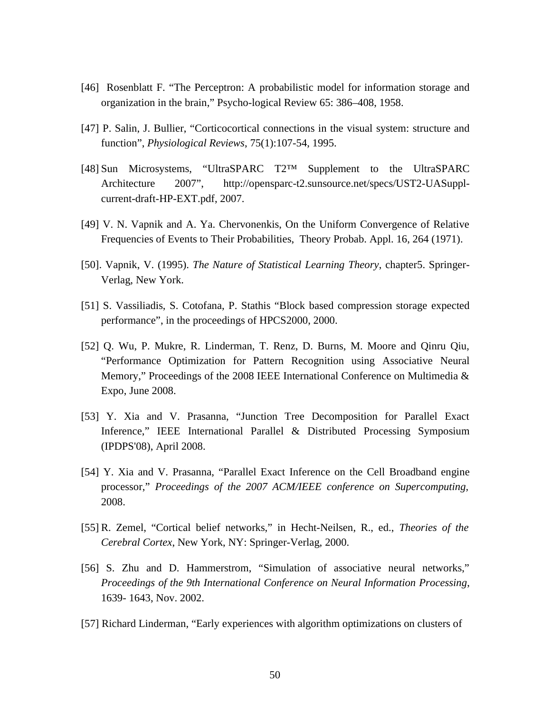- [46] Rosenblatt F. "The Perceptron: A probabilistic model for information storage and organization in the brain," Psycho-logical Review 65: 386–408, 1958.
- [47] P. Salin, J. Bullier, "Corticocortical connections in the visual system: structure and function", *Physiological Reviews*, 75(1):107-54, 1995.
- [48] Sun Microsystems, "UltraSPARC T2™ Supplement to the UltraSPARC Architecture 2007", http://opensparc-t2.sunsource.net/specs/UST2-UASupplcurrent-draft-HP-EXT.pdf, 2007.
- [49] V. N. Vapnik and A. Ya. Chervonenkis, On the Uniform Convergence of Relative Frequencies of Events to Their Probabilities, Theory Probab. Appl. 16, 264 (1971).
- [50]. Vapnik, V. (1995). *The Nature of Statistical Learning Theory*, chapter5. Springer-Verlag, New York.
- [51] S. Vassiliadis, S. Cotofana, P. Stathis "Block based compression storage expected performance", in the proceedings of HPCS2000, 2000.
- [52] Q. Wu, P. Mukre, R. Linderman, T. Renz, D. Burns, M. Moore and Qinru Qiu, "Performance Optimization for Pattern Recognition using Associative Neural Memory," Proceedings of the 2008 IEEE International Conference on Multimedia & Expo, June 2008.
- [53] Y. Xia and V. Prasanna, "Junction Tree Decomposition for Parallel Exact Inference," IEEE International Parallel & Distributed Processing Symposium (IPDPS'08), April 2008.
- [54] Y. Xia and V. Prasanna, "Parallel Exact Inference on the Cell Broadband engine processor," *Proceedings of the 2007 ACM/IEEE conference on Supercomputing,* 2008.
- [55] R. Zemel, "Cortical belief networks," in Hecht-Neilsen, R., ed., *Theories of the Cerebral Cortex*, New York, NY: Springer-Verlag, 2000.
- [56] S. Zhu and D. Hammerstrom, "Simulation of associative neural networks," *Proceedings of the 9th International Conference on Neural Information Processing*, 1639- 1643, Nov. 2002.
- [57] Richard Linderman, "Early experiences with algorithm optimizations on clusters of